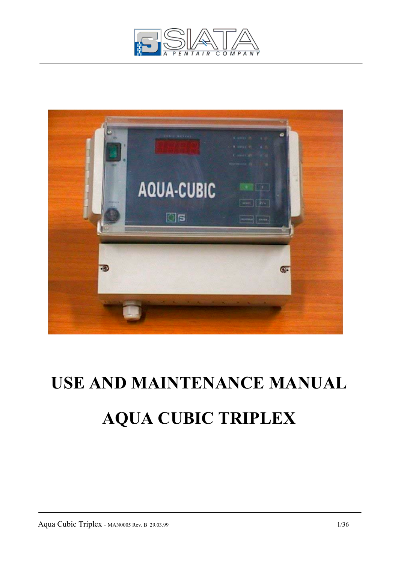



# **USE AND MAINTENANCE MANUAL AQUA CUBIC TRIPLEX**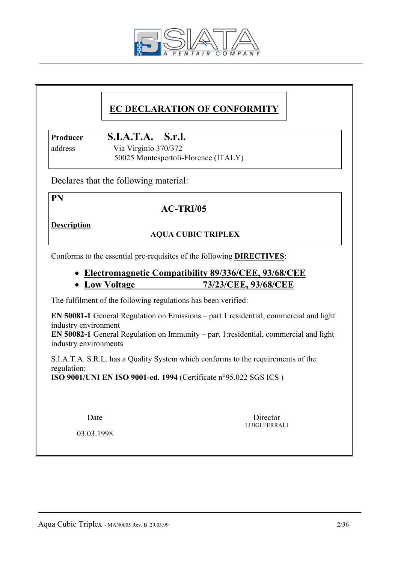

# **EC DECLARATION OF CONFORMITY**

**Producer S.I.A.T.A. S.r.l.**

 address Via Virginio 370/372 50025 Montespertoli-Florence (ITALY)

Declares that the following material:

**PN** 

# **AC-TRI/05**

**Description**

# **AQUA CUBIC TRIPLEX**

Conforms to the essential pre-requisites of the following **DIRECTIVES**:

- **Electromagnetic Compatibility 89/336/CEE, 93/68/CEE**
- **Low Voltage 73/23/CEE, 93/68/CEE**

The fulfilment of the following regulations has been verified:

**EN 50081-1** General Regulation on Emissions – part 1 residential, commercial and light industry environment

**EN 50082-1** General Regulation on Immunity – part 1:residential, commercial and light industry environments

 S.I.A.T.A. S.R.L. has a Quality System which conforms to the requirements of the regulation:

**ISO 9001/UNI EN ISO 9001-ed. 1994** (Certificate n°95.022 SGS ICS )

Date Director LUIGI FERRALI

03.03.1998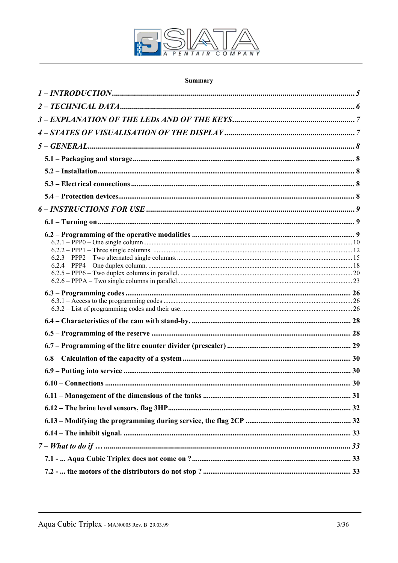

# Summary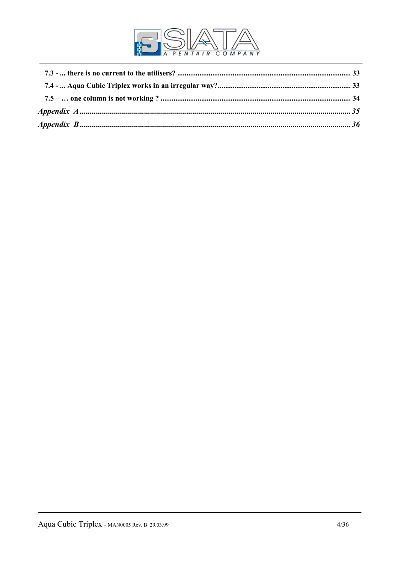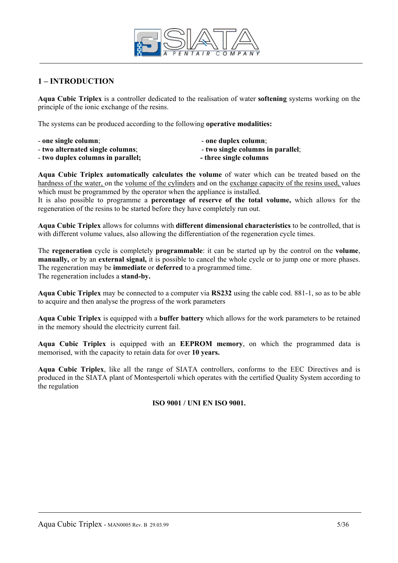

# **1 – INTRODUCTION**

**Aqua Cubic Triplex** is a controller dedicated to the realisation of water **softening** systems working on the principle of the ionic exchange of the resins.

The systems can be produced according to the following **operative modalities:** 

- one single column;  $\qquad \qquad \text{one duplex column};$ 
	-
- **two duplex columns in parallel;** The single columns **-** three single columns
- **two alternated single columns**;  $\qquad \qquad$  **two single columns in parallel**;
	-

**Aqua Cubic Triplex automatically calculates the volume** of water which can be treated based on the hardness of the water, on the volume of the cylinders and on the exchange capacity of the resins used, values which must be programmed by the operator when the appliance is installed.

It is also possible to programme a **percentage of reserve of the total volume,** which allows for the regeneration of the resins to be started before they have completely run out.

**Aqua Cubic Triplex** allows for columns with **different dimensional characteristics** to be controlled, that is with different volume values, also allowing the differentiation of the regeneration cycle times.

The **regeneration** cycle is completely **programmable**: it can be started up by the control on the **volume**, **manually,** or by an **external signal,** it is possible to cancel the whole cycle or to jump one or more phases. The regeneration may be **immediate** or **deferred** to a programmed time. The regeneration includes a **stand-by.**

**Aqua Cubic Triplex** may be connected to a computer via **RS232** using the cable cod. 881-1, so as to be able to acquire and then analyse the progress of the work parameters

**Aqua Cubic Triplex** is equipped with a **buffer battery** which allows for the work parameters to be retained in the memory should the electricity current fail.

**Aqua Cubic Triplex** is equipped with an **EEPROM memory**, on which the programmed data is memorised, with the capacity to retain data for over **10 years.** 

**Aqua Cubic Triplex**, like all the range of SIATA controllers, conforms to the EEC Directives and is produced in the SIATA plant of Montespertoli which operates with the certified Quality System according to the regulation

## **ISO 9001 / UNI EN ISO 9001.**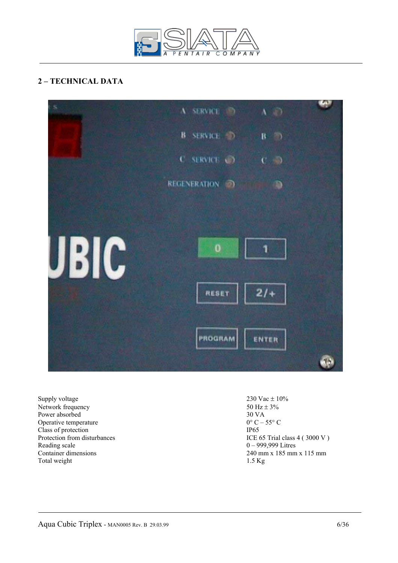

# **2 – TECHNICAL DATA**



Supply voltage 230 Vac  $\pm$  10%<br>Network frequency 50 Hz  $\pm$  3% Network frequency 50 Hz = 30 VA 30 VA Power absorbed 30 VA<br>Operative temperature  $0^{\circ}C - 55^{\circ}C$ Operative temperature  $0^{\circ}$  C –  $\Box$  Class of protection IP65 Class of protection Reading scale 0 – 999,999 Litres<br>
Container dimensions<br>
240 mm x 185 mm Total weight 1.5 Kg

Protection from disturbances<br>
Reading scale<br>  $0 - 999,999$  Litres<br>  $0 - 999,999$  Litres  $240$  mm x 185 mm x 115 mm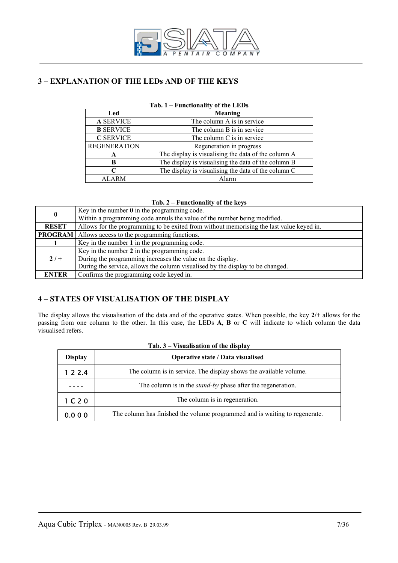

# **3 – EXPLANATION OF THE LEDs AND OF THE KEYS**

| 100.<br>r unchonancy of the EED's |                                                     |  |  |
|-----------------------------------|-----------------------------------------------------|--|--|
| Led                               | Meaning                                             |  |  |
| <b>A SERVICE</b>                  | The column A is in service                          |  |  |
| <b>B</b> SERVICE                  | The column B is in service                          |  |  |
| <b>C SERVICE</b>                  | The column C is in service                          |  |  |
| <b>REGENERATION</b>               | Regeneration in progress                            |  |  |
| A                                 | The display is visualising the data of the column A |  |  |
| B                                 | The display is visualising the data of the column B |  |  |
| ⊂                                 | The display is visualising the data of the column C |  |  |
| <b>ALARM</b>                      | Alarm                                               |  |  |

# **Tab. 1 – Functionality of the LEDs**

#### **Tab. 2 – Functionality of the keys**

| $\bf{0}$     | Key in the number $\theta$ in the programming code.                                      |  |  |  |  |
|--------------|------------------------------------------------------------------------------------------|--|--|--|--|
|              | Within a programming code annuls the value of the number being modified.                 |  |  |  |  |
| <b>RESET</b> | Allows for the programming to be exited from without memorising the last value keyed in. |  |  |  |  |
|              | <b>PROGRAM</b>   Allows access to the programming functions.                             |  |  |  |  |
|              | Key in the number 1 in the programming code.                                             |  |  |  |  |
|              | Key in the number 2 in the programming code.                                             |  |  |  |  |
| $2/ +$       | During the programming increases the value on the display.                               |  |  |  |  |
|              | During the service, allows the column visualised by the display to be changed.           |  |  |  |  |
| <b>ENTER</b> | Confirms the programming code keyed in.                                                  |  |  |  |  |

# **4 – STATES OF VISUALISATION OF THE DISPLAY**

The display allows the visualisation of the data and of the operative states. When possible, the key **2/+** allows for the passing from one column to the other. In this case, the LEDs **A**, **B** or **C** will indicate to which column the data visualised refers.

| <b>Display</b>                | Operative state / Data visualised                                           |
|-------------------------------|-----------------------------------------------------------------------------|
| 122.4                         | The column is in service. The display shows the available volume.           |
|                               | The column is in the <i>stand-by</i> phase after the regeneration.          |
| 1 <sub>C</sub> 2 <sub>O</sub> | The column is in regeneration.                                              |
| 0.000                         | The column has finished the volume programmed and is waiting to regenerate. |

# **Tab. 3 – Visualisation of the display**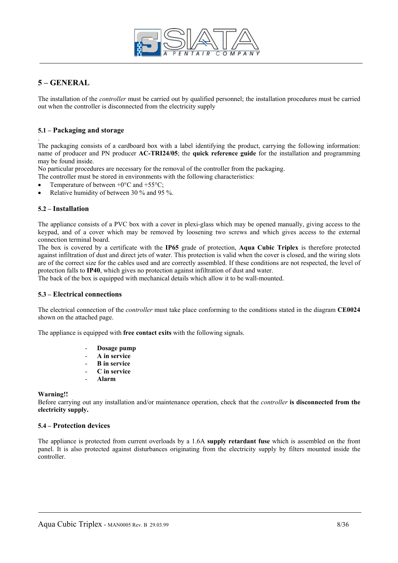

# **5 – GENERAL**

.

The installation of the *controller* must be carried out by qualified personnel; the installation procedures must be carried out when the controller is disconnected from the electricity supply

#### **5.1 – Packaging and storage**

The packaging consists of a cardboard box with a label identifying the product, carrying the following information: name of producer and PN producer **AC-TRI24/05**; the **quick reference guide** for the installation and programming may be found inside.

No particular procedures are necessary for the removal of the controller from the packaging.

- The controller must be stored in environments with the following characteristics:
- Temperature of between  $+0$ °C and  $+55$ °C;
- Relative humidity of between 30 % and 95 %.

#### **5.2 – Installation**

The appliance consists of a PVC box with a cover in plexi-glass which may be opened manually, giving access to the keypad, and of a cover which may be removed by loosening two screws and which gives access to the external connection terminal board.

The box is covered by a certificate with the **IP65** grade of protection, **Aqua Cubic Triplex** is therefore protected against infiltration of dust and direct jets of water. This protection is valid when the cover is closed, and the wiring slots are of the correct size for the cables used and are correctly assembled. If these conditions are not respected, the level of protection falls to **IP40**, which gives no protection against infiltration of dust and water.

The back of the box is equipped with mechanical details which allow it to be wall-mounted.

#### **5.3 – Electrical connections**

The electrical connection of the *controller* must take place conforming to the conditions stated in the diagram **CE0024** shown on the attached page.

The appliance is equipped with **free contact exits** with the following signals.

- **Dosage pump**
- **A in service**
- **B in service**
- **C in service**
- **Alarm**

**Warning!!** 

Before carrying out any installation and/or maintenance operation, check that the *controller* **is disconnected from the electricity supply.** 

#### **5.4 – Protection devices**

The appliance is protected from current overloads by a 1.6A **supply retardant fuse** which is assembled on the front panel. It is also protected against disturbances originating from the electricity supply by filters mounted inside the controller.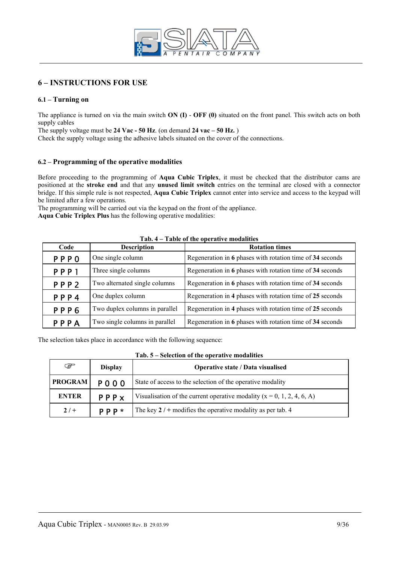

# **6 – INSTRUCTIONS FOR USE**

#### **6.1 – Turning on**

The appliance is turned on via the main switch **ON (I)** - **OFF (0)** situated on the front panel. This switch acts on both supply cables

The supply voltage must be **24 Vac - 50 Hz**. (on demand **24 vac – 50 Hz.** )

Check the supply voltage using the adhesive labels situated on the cover of the connections.

#### **6.2 – Programming of the operative modalities**

Before proceeding to the programming of **Aqua Cubic Triplex**, it must be checked that the distributor cams are positioned at the **stroke end** and that any **unused limit switch** entries on the terminal are closed with a connector bridge. If this simple rule is not respected, **Aqua Cubic Triplex** cannot enter into service and access to the keypad will be limited after a few operations.

The programming will be carried out via the keypad on the front of the appliance. **Aqua Cubic Triplex Plus** has the following operative modalities:

| <b>Description</b><br>Code |                                | rabic or the operative modanties<br><b>Rotation times</b> |  |
|----------------------------|--------------------------------|-----------------------------------------------------------|--|
| <b>PPPO</b>                | One single column              | Regeneration in 6 phases with rotation time of 34 seconds |  |
| PPP1                       | Three single columns           | Regeneration in 6 phases with rotation time of 34 seconds |  |
| PPP <sub>2</sub>           | Two alternated single columns  | Regeneration in 6 phases with rotation time of 34 seconds |  |
| PPP4                       | One duplex column              | Regeneration in 4 phases with rotation time of 25 seconds |  |
| PPP6                       | Two duplex columns in parallel | Regeneration in 4 phases with rotation time of 25 seconds |  |
| PPPA                       | Two single columns in parallel | Regeneration in 6 phases with rotation time of 34 seconds |  |

#### **Tab. 4 – Table of the operative modalities**

The selection takes place in accordance with the following sequence:

| িষ<br><b>Display</b>          |       | <b>Operative state / Data visualised</b>                                   |
|-------------------------------|-------|----------------------------------------------------------------------------|
| <b>PROGRAM</b><br><b>POOO</b> |       | State of access to the selection of the operative modality                 |
| <b>ENTER</b><br>PPPX          |       | Visualisation of the current operative modality ( $x = 0, 1, 2, 4, 6, A$ ) |
| $2/ +$                        | P P P | The key $2 / +$ modifies the operative modality as per tab. 4              |

**Tab. 5 – Selection of the operative modalities**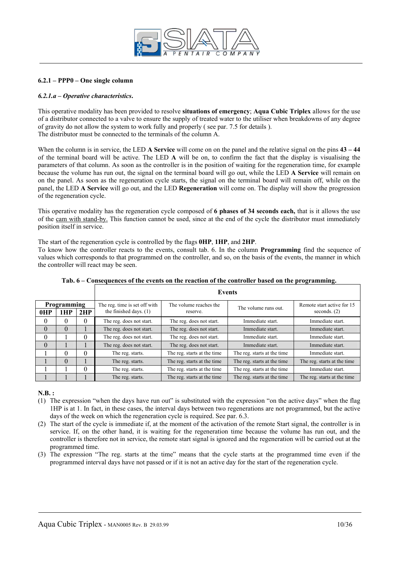

#### **6.2.1 – PPP0 – One single column**

#### *6.2.1.a – Operative characteristics***.**

This operative modality has been provided to resolve **situations of emergency**; **Aqua Cubic Triplex** allows for the use of a distributor connected to a valve to ensure the supply of treated water to the utiliser when breakdowns of any degree of gravity do not allow the system to work fully and properly ( see par. 7.5 for details ). The distributor must be connected to the terminals of the column A.

When the column is in service, the LED **A Service** will come on on the panel and the relative signal on the pins  $43 - 44$ of the terminal board will be active. The LED **A** will be on, to confirm the fact that the display is visualising the parameters of that column. As soon as the controller is in the position of waiting for the regeneration time, for example because the volume has run out, the signal on the terminal board will go out, while the LED **A Service** will remain on on the panel. As soon as the regeneration cycle starts, the signal on the terminal board will remain off, while on the panel, the LED **A Service** will go out, and the LED **Regeneration** will come on. The display will show the progression of the regeneration cycle.

This operative modality has the regeneration cycle composed of **6 phases of 34 seconds each,** that is it allows the use of the cam with stand-by. This function cannot be used, since at the end of the cycle the distributor must immediately position itself in service.

The start of the regeneration cycle is controlled by the flags **0HP**, **1HP**, and **2HP**.

To know how the controller reacts to the events, consult tab. 6. In the column **Programming** find the sequence of values which corresponds to that programmed on the controller, and so, on the basis of the events, the manner in which the controller will react may be seen.

| <b>Programming</b> |          |     | The reg. time is set off with | The volume reaches the      | The volume runs out.        | Remote start active for 15  |
|--------------------|----------|-----|-------------------------------|-----------------------------|-----------------------------|-----------------------------|
| 0HP                | 1HP      | 2HP | the finished days. $(1)$      | reserve.                    |                             | seconds. $(2)$              |
| $\theta$           | $\Omega$ | 0   | The reg. does not start.      | The reg. does not start.    | Immediate start.            | Immediate start.            |
| $\theta$           | $\theta$ |     | The reg. does not start.      | The reg. does not start.    | Immediate start.            | Immediate start.            |
| 0                  |          |     | The reg. does not start.      | The reg. does not start.    | Immediate start.            | Immediate start.            |
| $\Omega$           |          |     | The reg. does not start.      | The reg. does not start.    | Immediate start.            | Immediate start.            |
|                    | $\Omega$ | 0   | The reg. starts.              | The reg. starts at the time | The reg. starts at the time | Immediate start.            |
|                    | $\Omega$ |     | The reg. starts.              | The reg. starts at the time | The reg. starts at the time | The reg. starts at the time |
|                    |          | 0   | The reg. starts.              | The reg. starts at the time | The reg. starts at the time | Immediate start.            |
|                    |          |     | The reg. starts.              | The reg. starts at the time | The reg. starts at the time | The reg. starts at the time |

**Tab. 6 – Consequences of the events on the reaction of the controller based on the programming.**

**N.B. :**

- (1) The expression "when the days have run out" is substituted with the expression "on the active days" when the flag 1HP is at 1. In fact, in these cases, the interval days between two regenerations are not programmed, but the active days of the week on which the regeneration cycle is required. See par. 6.3.
- (2) The start of the cycle is immediate if, at the moment of the activation of the remote Start signal, the controller is in service. If, on the other hand, it is waiting for the regeneration time because the volume has run out, and the controller is therefore not in service, the remote start signal is ignored and the regeneration will be carried out at the programmed time.
- (3) The expression "The reg. starts at the time" means that the cycle starts at the programmed time even if the programmed interval days have not passed or if it is not an active day for the start of the regeneration cycle.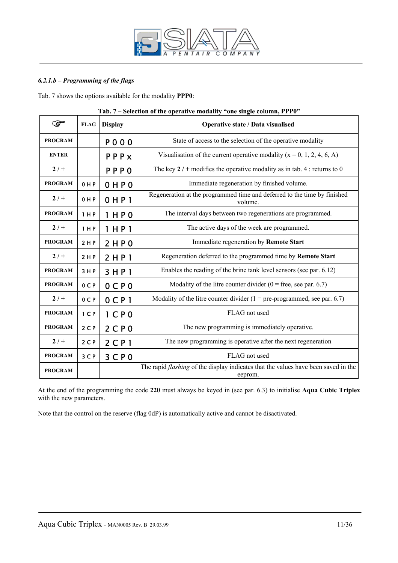

# *6.2.1.b – Programming of the flags*

Tab. 7 shows the options available for the modality **PPP0**:

| E              | <b>FLAG</b>    | <b>Display</b>      | Operative state / Data visualised                                                                    |  |  |
|----------------|----------------|---------------------|------------------------------------------------------------------------------------------------------|--|--|
| <b>PROGRAM</b> |                | <b>POOO</b>         | State of access to the selection of the operative modality                                           |  |  |
| <b>ENTER</b>   |                | PPPX                | Visualisation of the current operative modality ( $x = 0, 1, 2, 4, 6, A$ )                           |  |  |
| $2/$ +         |                | <b>PPPO</b>         | The key $2/$ + modifies the operative modality as in tab. 4 : returns to 0                           |  |  |
| <b>PROGRAM</b> | 0HP            | OHPO                | Immediate regeneration by finished volume.                                                           |  |  |
| $2/+$          | 0 H P          | $0$ HP <sub>1</sub> | Regeneration at the programmed time and deferred to the time by finished<br>volume.                  |  |  |
| <b>PROGRAM</b> | 1 H P          | 1 H P 0             | The interval days between two regenerations are programmed.                                          |  |  |
| $2/+$          | 1 H P          | 1HH                 | The active days of the week are programmed.                                                          |  |  |
| <b>PROGRAM</b> | 2 H P          | 2HP0                | Immediate regeneration by Remote Start                                                               |  |  |
| $2/+$          | 2 H P          | 2 HPI               | Regeneration deferred to the programmed time by Remote Start                                         |  |  |
| <b>PROGRAM</b> | 3 H P          | 3 H P 1             | Enables the reading of the brine tank level sensors (see par. 6.12)                                  |  |  |
| <b>PROGRAM</b> | 0CP            | $0$ CPO             | Modality of the litre counter divider $(0 = free, see par. 6.7)$                                     |  |  |
| $2/$ +         | 0 <sup>C</sup> | $0$ CP <sub>1</sub> | Modality of the litre counter divider $(1 = pre-programmed, see par. 6.7)$                           |  |  |
| <b>PROGRAM</b> | 1 <sup>C</sup> | $1$ CP <sub>0</sub> | FLAG not used                                                                                        |  |  |
| <b>PROGRAM</b> | $2C$ P         | 2CP0                | The new programming is immediately operative.                                                        |  |  |
| $2/$ +         | $2C$ P         | $2$ CP <sub>1</sub> | The new programming is operative after the next regeneration                                         |  |  |
| <b>PROGRAM</b> | 3 C P          | 3CP0                | FLAG not used                                                                                        |  |  |
| <b>PROGRAM</b> |                |                     | The rapid <i>flashing</i> of the display indicates that the values have been saved in the<br>eeprom. |  |  |

#### **Tab. 7 – Selection of the operative modality "one single column, PPP0"**

At the end of the programming the code **220** must always be keyed in (see par. 6.3) to initialise **Aqua Cubic Triplex** with the new parameters.

Note that the control on the reserve (flag 0dP) is automatically active and cannot be disactivated.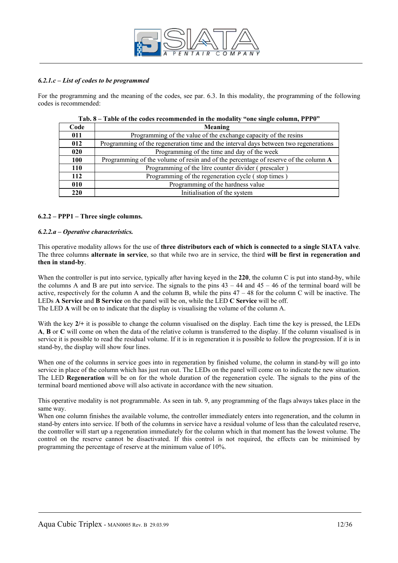

#### *6.2.1.c – List of codes to be programmed*

For the programming and the meaning of the codes, see par. 6.3. In this modality, the programming of the following codes is recommended:

| Code | Meaning                                                                              |
|------|--------------------------------------------------------------------------------------|
| 011  | Programming of the value of the exchange capacity of the resins                      |
| 012  | Programming of the regeneration time and the interval days between two regenerations |
| 020  | Programming of the time and day of the week                                          |
| 100  | Programming of the volume of resin and of the percentage of reserve of the column A  |
| 110  | Programming of the litre counter divider (prescaler)                                 |
| 112  | Programming of the regeneration cycle (stop times)                                   |
| 010  | Programming of the hardness value                                                    |
| 220  | Initialisation of the system                                                         |

| Tab. 8 – Table of the codes recommended in the modality "one single column, PPP0" |  |
|-----------------------------------------------------------------------------------|--|
|-----------------------------------------------------------------------------------|--|

#### **6.2.2 – PPP1 – Three single columns.**

#### *6.2.2.a – Operative characteristics.*

This operative modality allows for the use of **three distributors each of which is connected to a single SIATA valve**. The three columns **alternate in service**, so that while two are in service, the third **will be first in regeneration and then in stand-by**.

When the controller is put into service, typically after having keyed in the 220, the column C is put into stand-by, while the columns A and B are put into service. The signals to the pins  $43 - 44$  and  $45 - 46$  of the terminal board will be active, respectively for the column A and the column B, while the pins 47 – 48 for the column C will be inactive. The LEDs **A Service** and **B Service** on the panel will be on, while the LED **C Service** will be off. The LED **A** will be on to indicate that the display is visualising the volume of the column A.

With the key  $2/+$  it is possible to change the column visualised on the display. Each time the key is pressed, the LEDs **A**, **B** or **C** will come on when the data of the relative column is transferred to the display. If the column visualised is in service it is possible to read the residual volume. If it is in regeneration it is possible to follow the progression. If it is in stand-by, the display will show four lines.

When one of the columns in service goes into in regeneration by finished volume, the column in stand-by will go into service in place of the column which has just run out. The LEDs on the panel will come on to indicate the new situation. The LED **Regeneration** will be on for the whole duration of the regeneration cycle. The signals to the pins of the terminal board mentioned above will also activate in accordance with the new situation.

This operative modality is not programmable. As seen in tab. 9, any programming of the flags always takes place in the same way.

When one column finishes the available volume, the controller immediately enters into regeneration, and the column in stand-by enters into service. If both of the columns in service have a residual volume of less than the calculated reserve, the controller will start up a regeneration immediately for the column which in that moment has the lowest volume. The control on the reserve cannot be disactivated. If this control is not required, the effects can be minimised by programming the percentage of reserve at the minimum value of 10%.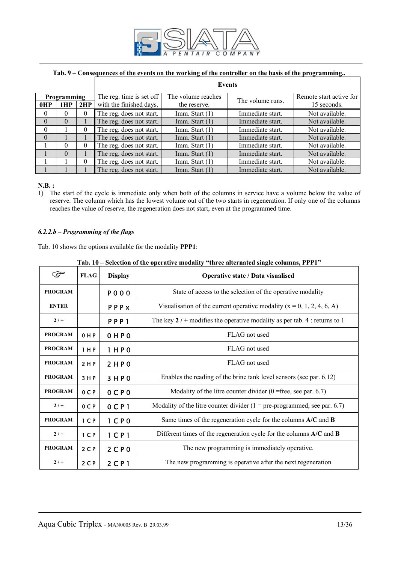

# **Tab. 9 – Consequences of the events on the working of the controller on the basis of the programming..**

|                    |          |          | <b>Events</b>            |                    |                  |                         |  |
|--------------------|----------|----------|--------------------------|--------------------|------------------|-------------------------|--|
| <b>Programming</b> |          |          | The reg. time is set off | The volume reaches | The volume runs. | Remote start active for |  |
| 0HP                | 1HP      | 2HP      | with the finished days.  | the reserve.       |                  | 15 seconds.             |  |
| $\theta$           | 0        | $\theta$ | The reg. does not start. | Imm. Start (1)     | Immediate start. | Not available.          |  |
| $\theta$           | $\Omega$ |          | The reg. does not start. | Imm. Start $(1)$   | Immediate start. | Not available.          |  |
| $\Omega$           |          | $\theta$ | The reg. does not start. | Imm. Start $(1)$   | Immediate start. | Not available.          |  |
| $\theta$           |          |          | The reg. does not start. | Imm. Start $(1)$   | Immediate start. | Not available.          |  |
|                    | 0        | $\Omega$ | The reg. does not start. | Imm. Start (1)     | Immediate start. | Not available.          |  |
|                    | $\theta$ |          | The reg. does not start. | Imm. Start $(1)$   | Immediate start. | Not available.          |  |
|                    |          | $\Omega$ | The reg. does not start. | Imm. Start (1)     | Immediate start. | Not available.          |  |
|                    |          |          | The reg. does not start. | Imm. Start $(1)$   | Immediate start. | Not available.          |  |

#### **N.B. :**

1) The start of the cycle is immediate only when both of the columns in service have a volume below the value of reserve. The column which has the lowest volume out of the two starts in regeneration. If only one of the columns reaches the value of reserve, the regeneration does not start, even at the programmed time.

#### *6.2.2.b – Programming of the flags*

Tab. 10 shows the options available for the modality **PPP1**:

|  | Tab. 10 – Selection of the operative modality "three alternated single columns, PPP1" |  |  |
|--|---------------------------------------------------------------------------------------|--|--|
|  |                                                                                       |  |  |

| ক্তে           | <b>FLAG</b>    | <b>Display</b>      | Operative state / Data visualised                                            |  |
|----------------|----------------|---------------------|------------------------------------------------------------------------------|--|
| <b>PROGRAM</b> |                | <b>PO00</b>         | State of access to the selection of the operative modality                   |  |
| <b>ENTER</b>   |                | PPPX                | Visualisation of the current operative modality ( $x = 0, 1, 2, 4, 6, A$ )   |  |
| $2/ +$         |                | PPP <sub>1</sub>    | The key $2 / +$ modifies the operative modality as per tab. 4 : returns to 1 |  |
| <b>PROGRAM</b> | 0 H P          | <b>OHPO</b>         | FLAG not used                                                                |  |
| <b>PROGRAM</b> | 1 H P          | 1 H P 0             | FLAG not used                                                                |  |
| <b>PROGRAM</b> | 2HP            | 2 H P 0             | FLAG not used                                                                |  |
| <b>PROGRAM</b> | 3 H P          | 3HP0                | Enables the reading of the brine tank level sensors (see par. 6.12)          |  |
| <b>PROGRAM</b> | $0C$ P         | 0 C P 0             | Modality of the litre counter divider $(0 =$ free, see par. 6.7)             |  |
| $2/ +$         | 0 <sub>C</sub> | $0$ CP <sub>1</sub> | Modality of the litre counter divider $(1 = pre-programmed, see par. 6.7)$   |  |
| <b>PROGRAM</b> | 1 <sub>C</sub> | $1$ CP <sub>0</sub> | Same times of the regeneration cycle for the columns $A/C$ and $B$           |  |
| $2/+$          | 1 <sup>C</sup> | $1$ CP <sub>1</sub> | Different times of the regeneration cycle for the columns $A/C$ and $B$      |  |
| <b>PROGRAM</b> | $2C$ P         | 2CP0                | The new programming is immediately operative.                                |  |
| $2/ +$         | $2C$ P         | $2$ CP <sub>1</sub> | The new programming is operative after the next regeneration                 |  |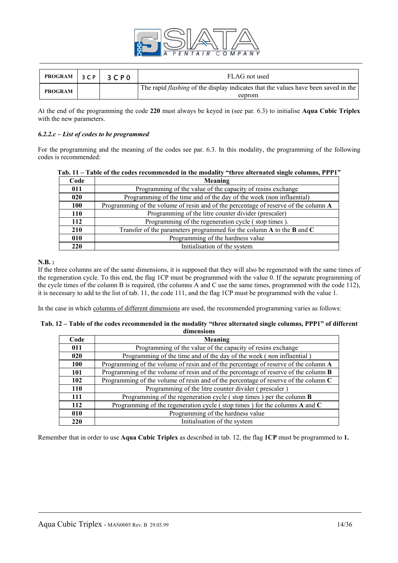

| PROGRAM 3CP    | 3 C P 0 | FLAG not used                                                                                       |
|----------------|---------|-----------------------------------------------------------------------------------------------------|
| <b>PROGRAM</b> |         | The rapid <i>flashing</i> of the display indicates that the values have been saved in the<br>eeprom |

At the end of the programming the code **220** must always be keyed in (see par. 6.3) to initialise **Aqua Cubic Triplex**  with the new parameters.

#### *6.2.2.c – List of codes to be programmed*

For the programming and the meaning of the codes see par. 6.3. In this modality, the programming of the following codes is recommended:

| Code       | Meaning                                                                             |
|------------|-------------------------------------------------------------------------------------|
| 011        | Programming of the value of the capacity of resins exchange                         |
| 020        | Programming of the time and of the day of the week (non influential)                |
| 100        | Programming of the volume of resin and of the percentage of reserve of the column A |
| <b>110</b> | Programming of the litre counter divider (prescaler)                                |
| 112        | Programming of the regeneration cycle (stop times).                                 |
| 210        | Transfer of the parameters programmed for the column A to the B and C               |
| 010        | Programming of the hardness value                                                   |
| 220        | Initialisation of the system                                                        |

| Tab. 11 – Table of the codes recommended in the modality "three alternated single columns, PPP1" |  |  |
|--------------------------------------------------------------------------------------------------|--|--|
|--------------------------------------------------------------------------------------------------|--|--|

#### **N.B. :**

If the three columns are of the same dimensions, it is supposed that they will also be regenerated with the same times of the regeneration cycle. To this end, the flag 1CP must be programmed with the value 0. If the separate programming of the cycle times of the column B is required, (the columns A and C use the same times, programmed with the code 112), it is necessary to add to the list of tab. 11, the code 111, and the flag 1CP must be programmed with the value 1.

In the case in which columns of different dimensions are used, the recommended programming varies as follows:

| Tab. 12 – Table of the codes recommended in the modality "three alternated single columns, PPP1" of different |
|---------------------------------------------------------------------------------------------------------------|
| dimensions                                                                                                    |

| Code       | Meaning                                                                                    |
|------------|--------------------------------------------------------------------------------------------|
| 011        | Programming of the value of the capacity of resins exchange                                |
| 020        | Programming of the time and of the day of the week (non influential)                       |
| <b>100</b> | Programming of the volume of resin and of the percentage of reserve of the column A        |
| 101        | Programming of the volume of resin and of the percentage of reserve of the column <b>B</b> |
| 102        | Programming of the volume of resin and of the percentage of reserve of the column $C$      |
| 110        | Programming of the litre counter divider (prescaler)                                       |
| 111        | Programming of the regeneration cycle (stop times) per the column <b>B</b>                 |
| 112        | Programming of the regeneration cycle (stop times) for the columns A and C                 |
| 010        | Programming of the hardness value                                                          |
| 220        | Initialisation of the system                                                               |

Remember that in order to use **Aqua Cubic Triplex** as described in tab. 12, the flag **1CP** must be programmed to **1.**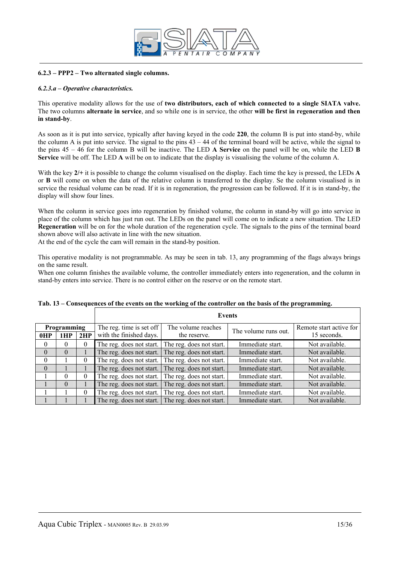

#### **6.2.3 – PPP2 – Two alternated single columns.**

#### *6.2.3.a – Operative characteristics.*

This operative modality allows for the use of **two distributors, each of which connected to a single SIATA valve.**  The two columns **alternate in service**, and so while one is in service, the other **will be first in regeneration and then in stand-by**.

As soon as it is put into service, typically after having keyed in the code **220**, the column B is put into stand-by, while the column A is put into service. The signal to the pins  $43 - 44$  of the terminal board will be active, while the signal to the pins 45 – 46 for the column B will be inactive. The LED **A Service** on the panel will be on, while the LED **B Service** will be off. The LED **A** will be on to indicate that the display is visualising the volume of the column A.

With the key  $2/$ + it is possible to change the column visualised on the display. Each time the key is pressed, the LEDs **A** or **B** will come on when the data of the relative column is transferred to the display. Se the column visualised is in service the residual volume can be read. If it is in regeneration, the progression can be followed. If it is in stand-by, the display will show four lines.

When the column in service goes into regeneration by finished volume, the column in stand-by will go into service in place of the column which has just run out. The LEDs on the panel will come on to indicate a new situation. The LED **Regeneration** will be on for the whole duration of the regeneration cycle. The signals to the pins of the terminal board shown above will also activate in line with the new situation.

At the end of the cycle the cam will remain in the stand-by position.

This operative modality is not programmable. As may be seen in tab. 13, any programming of the flags always brings on the same result.

When one column finishes the available volume, the controller immediately enters into regeneration, and the column in stand-by enters into service. There is no control either on the reserve or on the remote start.

| Programming |          |          | The reg. time is set off<br>The volume reaches<br>The volume runs out. |                          | Remote start active for<br>15 seconds. |                |
|-------------|----------|----------|------------------------------------------------------------------------|--------------------------|----------------------------------------|----------------|
| 0HP         | 1HP      | 2HP      | with the finished days.                                                | the reserve.             |                                        |                |
| $\theta$    | 0        | $\theta$ | The reg. does not start.                                               | The reg. does not start. | Immediate start.                       | Not available. |
| $\theta$    | $\Omega$ |          | The reg. does not start.                                               | The reg. does not start. | Immediate start.                       | Not available. |
| $\theta$    |          | 0        | The reg. does not start.                                               | The reg. does not start. | Immediate start.                       | Not available. |
| $\theta$    |          |          | The reg. does not start.                                               | The reg. does not start. | Immediate start.                       | Not available. |
|             | $\Omega$ | $\theta$ | The reg. does not start.                                               | The reg. does not start. | Immediate start.                       | Not available. |
|             | $\Omega$ |          | The reg. does not start.                                               | The reg. does not start. | Immediate start.                       | Not available. |
|             |          | $\Omega$ | The reg. does not start.                                               | The reg. does not start. | Immediate start.                       | Not available. |
|             |          |          | The reg. does not start.                                               | The reg. does not start. | Immediate start.                       | Not available. |

#### **Tab. 13 – Consequences of the events on the working of the controller on the basis of the programming.**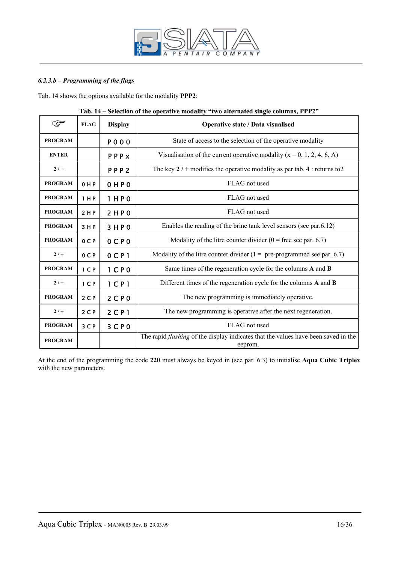

# *6.2.3.b – Programming of the flags*

Tab. 14 shows the options available for the modality **PPP2**:

| کی             | <b>FLAG</b>    | <b>Display</b>                | Operative state / Data visualised                                                                    |
|----------------|----------------|-------------------------------|------------------------------------------------------------------------------------------------------|
| <b>PROGRAM</b> |                | <b>PO00</b>                   | State of access to the selection of the operative modality                                           |
| <b>ENTER</b>   |                | PPPX                          | Visualisation of the current operative modality ( $x = 0, 1, 2, 4, 6, A$ )                           |
| $2/+$          |                | PPP <sub>2</sub>              | The key $2/$ + modifies the operative modality as per tab. 4 : returns to 2                          |
| <b>PROGRAM</b> | 0 H P          | 0 H P 0                       | FLAG not used                                                                                        |
| <b>PROGRAM</b> | 1 H P          | 1 HPO                         | FLAG not used                                                                                        |
| <b>PROGRAM</b> | 2 H P          | 2HP0                          | FLAG not used                                                                                        |
| <b>PROGRAM</b> | 3HP            | 3HP0                          | Enables the reading of the brine tank level sensors (see par.6.12)                                   |
| <b>PROGRAM</b> | 0CP            | 0 C P 0                       | Modality of the litre counter divider $(0 =$ free see par. 6.7)                                      |
| $2/+$          | 0 C P          | $0C$ $P1$                     | Modality of the litre counter divider ( $1 =$ pre-programmed see par. 6.7)                           |
| <b>PROGRAM</b> | 1 <sub>C</sub> | 1 <sub>C</sub> P <sub>0</sub> | Same times of the regeneration cycle for the columns A and B                                         |
| $2/+$          | 1 <sub>C</sub> | $1$ CP <sub>1</sub>           | Different times of the regeneration cycle for the columns A and B                                    |
| <b>PROGRAM</b> | $2C$ P         | 2 <sup>C</sup> P 0            | The new programming is immediately operative.                                                        |
| $2/+$          | 2 <sub>C</sub> | $2$ C P 1                     | The new programming is operative after the next regeneration.                                        |
| <b>PROGRAM</b> | 3 C P          | 3 <sup>C</sup> P 0            | FLAG not used                                                                                        |
| <b>PROGRAM</b> |                |                               | The rapid <i>flashing</i> of the display indicates that the values have been saved in the<br>eeprom. |

| Tab. 14 – Selection of the operative modality "two alternated single columns, PPP2" |  |  |
|-------------------------------------------------------------------------------------|--|--|
|                                                                                     |  |  |

At the end of the programming the code **220** must always be keyed in (see par. 6.3) to initialise **Aqua Cubic Triplex** with the new parameters.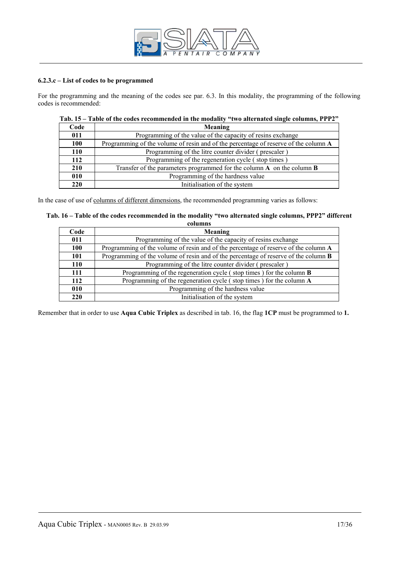

#### **6.2.3.c – List of codes to be programmed**

For the programming and the meaning of the codes see par. 6.3. In this modality, the programming of the following codes is recommended:

| Code | <b>Meaning</b>                                                                      |
|------|-------------------------------------------------------------------------------------|
| 011  | Programming of the value of the capacity of resins exchange                         |
| 100  | Programming of the volume of resin and of the percentage of reserve of the column A |
| 110  | Programming of the litre counter divider (prescaler)                                |
| 112  | Programming of the regeneration cycle (stop times)                                  |
| 210  | Transfer of the parameters programmed for the column $A$ on the column $B$          |
| 010  | Programming of the hardness value                                                   |
| 220  | Initialisation of the system                                                        |

# **Tab. 15 – Table of the codes recommended in the modality "two alternated single columns, PPP2"**

In the case of use of columns of different dimensions, the recommended programming varies as follows:

| Tab. 16 – Table of the codes recommended in the modality "two alternated single columns, PPP2" different |  |
|----------------------------------------------------------------------------------------------------------|--|
| columns                                                                                                  |  |

| Code | Meaning                                                                                    |
|------|--------------------------------------------------------------------------------------------|
| 011  | Programming of the value of the capacity of resins exchange                                |
| 100  | Programming of the volume of resin and of the percentage of reserve of the column A        |
| 101  | Programming of the volume of resin and of the percentage of reserve of the column <b>B</b> |
| 110  | Programming of the litre counter divider (prescaler)                                       |
| 111  | Programming of the regeneration cycle (stop times) for the column <b>B</b>                 |
| 112  | Programming of the regeneration cycle (stop times) for the column A                        |
| 010  | Programming of the hardness value                                                          |
| 220  | Initialisation of the system                                                               |

Remember that in order to use **Aqua Cubic Triplex** as described in tab. 16, the flag **1CP** must be programmed to **1.**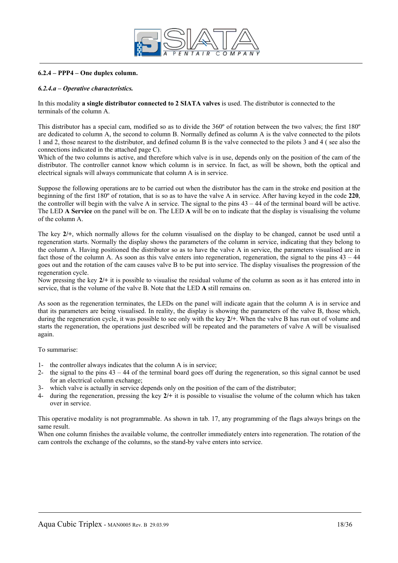

#### **6.2.4 – PPP4 – One duplex column.**

#### *6.2.4.a – Operative characteristics.*

In this modality **a single distributor connected to 2 SIATA valves** is used. The distributor is connected to the terminals of the column A.

This distributor has a special cam, modified so as to divide the 360º of rotation between the two valves; the first 180º are dedicated to column A, the second to column B. Normally defined as column A is the valve connected to the pilots 1 and 2, those nearest to the distributor, and defined column B is the valve connected to the pilots 3 and 4 ( see also the connections indicated in the attached page C).

Which of the two columns is active, and therefore which valve is in use, depends only on the position of the cam of the distributor. The controller cannot know which column is in service. In fact, as will be shown, both the optical and electrical signals will always communicate that column A is in service.

Suppose the following operations are to be carried out when the distributor has the cam in the stroke end position at the beginning of the first 180º of rotation, that is so as to have the valve A in service. After having keyed in the code **220**, the controller will begin with the valve A in service. The signal to the pins  $43 - 44$  of the terminal board will be active. The LED **A Service** on the panel will be on. The LED **A** will be on to indicate that the display is visualising the volume of the column A.

The key **2/+**, which normally allows for the column visualised on the display to be changed, cannot be used until a regeneration starts. Normally the display shows the parameters of the column in service, indicating that they belong to the column A. Having positioned the distributor so as to have the valve A in service, the parameters visualised are in fact those of the column A. As soon as this valve enters into regeneration, regeneration, the signal to the pins 43 – 44 goes out and the rotation of the cam causes valve B to be put into service. The display visualises the progression of the regeneration cycle.

Now pressing the key **2/+** it is possible to visualise the residual volume of the column as soon as it has entered into in service, that is the volume of the valve B. Note that the LED **A** still remains on.

As soon as the regeneration terminates, the LEDs on the panel will indicate again that the column A is in service and that its parameters are being visualised. In reality, the display is showing the parameters of the valve B, those which, during the regeneration cycle, it was possible to see only with the key **2/+**. When the valve B has run out of volume and starts the regeneration, the operations just described will be repeated and the parameters of valve A will be visualised again.

To summarise:

- 1- the controller always indicates that the column A is in service;
- 2- the signal to the pins 43 44 of the terminal board goes off during the regeneration, so this signal cannot be used for an electrical column exchange;
- 3- which valve is actually in service depends only on the position of the cam of the distributor;
- 4- during the regeneration, pressing the key **2/+** it is possible to visualise the volume of the column which has taken over in service.

This operative modality is not programmable. As shown in tab. 17, any programming of the flags always brings on the same result.

When one column finishes the available volume, the controller immediately enters into regeneration. The rotation of the cam controls the exchange of the columns, so the stand-by valve enters into service.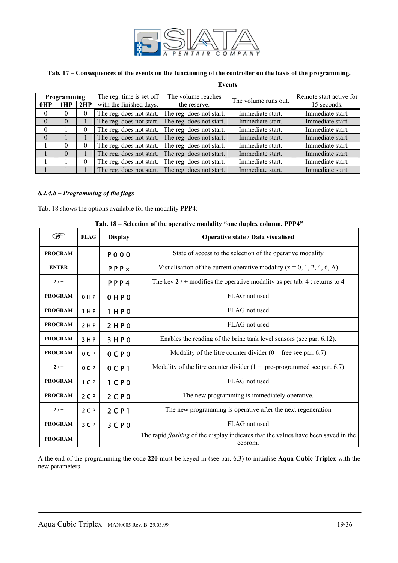

#### **Tab. 17 – Consequences of the events on the functioning of the controller on the basis of the programming.**

|                           |          |          | Events                                              |                                    |                      |                                        |  |  |
|---------------------------|----------|----------|-----------------------------------------------------|------------------------------------|----------------------|----------------------------------------|--|--|
| Programming<br>0HP<br>1HP |          | 2HP      | The reg. time is set off<br>with the finished days. | The volume reaches<br>the reserve. | The volume runs out. | Remote start active for<br>15 seconds. |  |  |
| $\theta$                  | $\Omega$ | $\theta$ | The reg. does not start.                            | The reg. does not start.           | Immediate start.     | Immediate start.                       |  |  |
| $\theta$                  | $\Omega$ |          | The reg. does not start.                            | The reg. does not start.           | Immediate start.     | Immediate start.                       |  |  |
| $\Omega$                  |          | $\theta$ | The reg. does not start.                            | The reg. does not start.           | Immediate start.     | Immediate start.                       |  |  |
| $\theta$                  |          |          | The reg. does not start.                            | The reg. does not start.           | Immediate start.     | Immediate start.                       |  |  |
|                           | $\Omega$ | $\Omega$ | The reg. does not start.                            | The reg. does not start.           | Immediate start.     | Immediate start.                       |  |  |
|                           | $\Omega$ |          | The reg. does not start.                            | The reg. does not start.           | Immediate start.     | Immediate start.                       |  |  |
|                           |          | $\theta$ | The reg. does not start.                            | The reg. does not start.           | Immediate start.     | Immediate start.                       |  |  |
|                           |          |          | The reg. does not start.                            | The reg. does not start.           | Immediate start.     | Immediate start.                       |  |  |

#### *6.2.4.b – Programming of the flags*

Tab. 18 shows the options available for the modality **PPP4**:

|                | $1$ ab. To $-$ Sciection of the operative inodality - one duples column, 1 1 1 4 |                     |                                                                                                      |  |
|----------------|----------------------------------------------------------------------------------|---------------------|------------------------------------------------------------------------------------------------------|--|
| کی ا           | <b>FLAG</b>                                                                      | <b>Display</b>      | Operative state / Data visualised                                                                    |  |
| <b>PROGRAM</b> |                                                                                  | <b>PO00</b>         | State of access to the selection of the operative modality                                           |  |
| <b>ENTER</b>   |                                                                                  | PPPx                | Visualisation of the current operative modality ( $x = 0, 1, 2, 4, 6, A$ )                           |  |
| $2/+$          |                                                                                  | PPP4                | The key $2 / +$ modifies the operative modality as per tab. 4 : returns to 4                         |  |
| <b>PROGRAM</b> | 0 H P                                                                            | OHPO                | FLAG not used                                                                                        |  |
| <b>PROGRAM</b> | 1 H P                                                                            | 1 H P 0             | FLAG not used                                                                                        |  |
| <b>PROGRAM</b> | 2 H P                                                                            | 2HP0                | FLAG not used                                                                                        |  |
| <b>PROGRAM</b> | 3HP                                                                              | 3HP0                | Enables the reading of the brine tank level sensors (see par. 6.12).                                 |  |
| <b>PROGRAM</b> | 0 <sup>C</sup>                                                                   | $0C$ $P0$           | Modality of the litre counter divider $(0 =$ free see par. 6.7)                                      |  |
| $2/+$          | 0CP                                                                              | $0$ CP <sub>1</sub> | Modality of the litre counter divider $(1 = pre-programmed$ see par. 6.7)                            |  |
| <b>PROGRAM</b> | 1 <sup>C</sup>                                                                   | $1$ CP <sub>0</sub> | FLAG not used                                                                                        |  |
| <b>PROGRAM</b> | 2 <sub>C</sub>                                                                   | 2CP0                | The new programming is immediately operative.                                                        |  |
| $2/+$          | 2 <sub>C</sub>                                                                   | $2$ C P 1           | The new programming is operative after the next regeneration                                         |  |
| <b>PROGRAM</b> | 3 <sup>C</sup>                                                                   | 3 <sup>C</sup> P 0  | FLAG not used                                                                                        |  |
| <b>PROGRAM</b> |                                                                                  |                     | The rapid <i>flashing</i> of the display indicates that the values have been saved in the<br>eeprom. |  |

## **Tab. 18 – Selection of the operative modality "one duplex column, PPP4"**

A the end of the programming the code **220** must be keyed in (see par. 6.3) to initialise **Aqua Cubic Triplex** with the new parameters.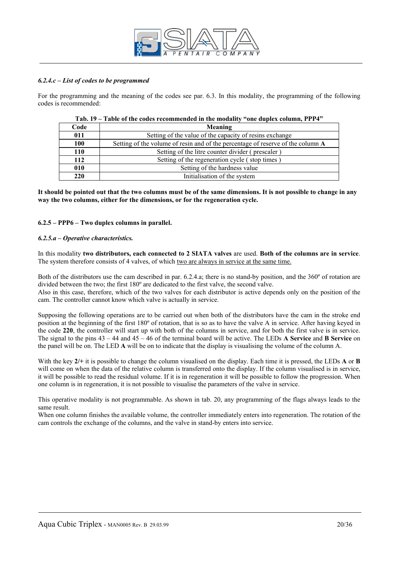

#### *6.2.4.c – List of codes to be programmed*

For the programming and the meaning of the codes see par. 6.3. In this modality, the programming of the following codes is recommended:

| Code       | Meaning                                                                         |
|------------|---------------------------------------------------------------------------------|
| 011        | Setting of the value of the capacity of resins exchange                         |
| 100        | Setting of the volume of resin and of the percentage of reserve of the column A |
| 110        | Setting of the litre counter divider (prescaler)                                |
| 112        | Setting of the regeneration cycle (stop times)                                  |
| 010        | Setting of the hardness value                                                   |
| <b>220</b> | Initialisation of the system                                                    |

#### **Tab. 19 – Table of the codes recommended in the modality "one duplex column, PPP4"**

**It should be pointed out that the two columns must be of the same dimensions. It is not possible to change in any way the two columns, either for the dimensions, or for the regeneration cycle.** 

#### **6.2.5 – PPP6 – Two duplex columns in parallel.**

#### *6.2.5.a – Operative characteristics.*

In this modality **two distributors, each connected to 2 SIATA valves** are used. **Both of the columns are in service**. The system therefore consists of 4 valves, of which two are always in service at the same time.

Both of the distributors use the cam described in par. 6.2.4.a; there is no stand-by position, and the 360º of rotation are divided between the two; the first 180º are dedicated to the first valve, the second valve.

Also in this case, therefore, which of the two valves for each distributor is active depends only on the position of the cam. The controller cannot know which valve is actually in service.

Supposing the following operations are to be carried out when both of the distributors have the cam in the stroke end position at the beginning of the first 180º of rotation, that is so as to have the valve A in service. After having keyed in the code **220**, the controller will start up with both of the columns in service, and for both the first valve is in service. The signal to the pins 43 – 44 and 45 – 46 of the terminal board will be active. The LEDs **A Service** and **B Service** on the panel will be on. The LED **A** will be on to indicate that the display is visualising the volume of the column A.

With the key  $2/$ + it is possible to change the column visualised on the display. Each time it is pressed, the LEDs **A** or **B** will come on when the data of the relative column is transferred onto the display. If the column visualised is in service, it will be possible to read the residual volume. If it is in regeneration it will be possible to follow the progression. When one column is in regeneration, it is not possible to visualise the parameters of the valve in service.

This operative modality is not programmable. As shown in tab. 20, any programming of the flags always leads to the same result.

When one column finishes the available volume, the controller immediately enters into regeneration. The rotation of the cam controls the exchange of the columns, and the valve in stand-by enters into service.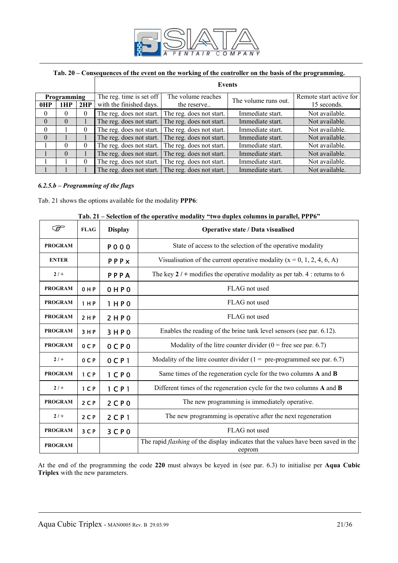

# **Tab. 20 – Consequences of the event on the working of the controller on the basis of the programming.**

|          |                    |          | Events                   |                                              |                      |                         |  |  |
|----------|--------------------|----------|--------------------------|----------------------------------------------|----------------------|-------------------------|--|--|
|          | <b>Programming</b> |          | The reg. time is set off | The volume reaches                           | The volume runs out. | Remote start active for |  |  |
| 0HP      | 1HP                | 2HP      | with the finished days.  | the reserve                                  |                      | 15 seconds.             |  |  |
| $\theta$ | $\Omega$           | $\theta$ | The reg. does not start. | Immediate start.<br>The reg. does not start. |                      | Not available.          |  |  |
| $\Omega$ | $\Omega$           |          | The reg. does not start. | The reg. does not start.                     | Immediate start.     | Not available.          |  |  |
| $\Omega$ |                    | $\theta$ | The reg. does not start. | The reg. does not start.                     | Immediate start.     | Not available.          |  |  |
| $\theta$ |                    |          | The reg. does not start. | The reg. does not start.                     | Immediate start.     | Not available.          |  |  |
|          | $\Omega$           | $\Omega$ | The reg. does not start. | The reg. does not start.                     | Immediate start.     | Not available.          |  |  |
|          | $\Omega$           |          | The reg. does not start. | The reg. does not start.                     | Immediate start.     | Not available.          |  |  |
|          |                    | $\theta$ | The reg. does not start. | The reg. does not start.                     | Immediate start.     | Not available.          |  |  |
|          |                    |          | The reg. does not start. | The reg. does not start.                     | Immediate start.     | Not available.          |  |  |

#### *6.2.5.b – Programming of the flags*

Tab. 21 shows the options available for the modality **PPP6**:

| ক্লে           | <b>FLAG</b>    | <b>Display</b>      | Operative state / Data visualised                                                                   |  |
|----------------|----------------|---------------------|-----------------------------------------------------------------------------------------------------|--|
| <b>PROGRAM</b> |                | <b>PO00</b>         | State of access to the selection of the operative modality                                          |  |
| <b>ENTER</b>   |                | PPPX                | Visualisation of the current operative modality ( $x = 0, 1, 2, 4, 6, A$ )                          |  |
| $2/+$          |                | PPPA                | The key $2/$ + modifies the operative modality as per tab. 4 : returns to 6                         |  |
| <b>PROGRAM</b> | 0 H P          | 0HP0                | FLAG not used                                                                                       |  |
| <b>PROGRAM</b> | 1 H P          | 1 H P 0             | FLAG not used                                                                                       |  |
| <b>PROGRAM</b> | 2 H P          | 2 H P 0             | FLAG not used                                                                                       |  |
| <b>PROGRAM</b> | 3 H P          | 3HP0                | Enables the reading of the brine tank level sensors (see par. 6.12).                                |  |
| <b>PROGRAM</b> | 0 <sub>C</sub> | $0C$ $P0$           | Modality of the litre counter divider $(0 =$ free see par. 6.7)                                     |  |
| $2/+$          | 0 C P          | 0 <sub>CP</sub> 1   | Modality of the litre counter divider $(1 = pre-programmed$ see par. 6.7)                           |  |
| <b>PROGRAM</b> | 1 <sup>C</sup> | $1$ CP <sub>0</sub> | Same times of the regeneration cycle for the two columns A and B                                    |  |
| $2/+$          | 1 <sup>C</sup> | $1$ CP <sub>1</sub> | Different times of the regeneration cycle for the two columns A and B                               |  |
| <b>PROGRAM</b> | 2 <sup>C</sup> | 2 <sup>C</sup> P 0  | The new programming is immediately operative.                                                       |  |
| $2/+$          | 2 <sub>C</sub> | $2$ CP <sub>1</sub> | The new programming is operative after the next regeneration                                        |  |
| <b>PROGRAM</b> | 3 <sup>C</sup> | 3CP0                | FLAG not used                                                                                       |  |
| <b>PROGRAM</b> |                |                     | The rapid <i>flashing</i> of the display indicates that the values have been saved in the<br>eeprom |  |

#### **Tab. 21 – Selection of the operative modality "two duplex columns in parallel, PPP6"**

At the end of the programming the code **220** must always be keyed in (see par. 6.3) to initialise per **Aqua Cubic Triplex** with the new parameters.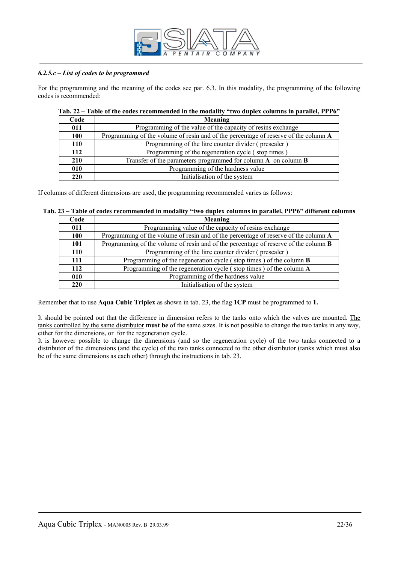

#### *6.2.5.c – List of codes to be programmed*

For the programming and the meaning of the codes see par. 6.3. In this modality, the programming of the following codes is recommended:

| Code       | Meaning                                                                             |
|------------|-------------------------------------------------------------------------------------|
| 011        | Programming of the value of the capacity of resins exchange                         |
| 100        | Programming of the volume of resin and of the percentage of reserve of the column A |
| 110        | Programming of the litre counter divider (prescaler)                                |
| 112        | Programming of the regeneration cycle (stop times)                                  |
| 210        | Transfer of the parameters programmed for column $A$ on column $B$                  |
| 010        | Programming of the hardness value                                                   |
| <b>220</b> | Initialisation of the system                                                        |

#### **Tab. 22 – Table of the codes recommended in the modality "two duplex columns in parallel, PPP6"**

If columns of different dimensions are used, the programming recommended varies as follows:

# **Tab. 23 – Table of codes recommended in modality "two duplex columns in parallel, PPP6" different columns**

| Code       | Meaning                                                                                    |
|------------|--------------------------------------------------------------------------------------------|
| 011        | Programming value of the capacity of resins exchange                                       |
| 100        | Programming of the volume of resin and of the percentage of reserve of the column A        |
| <b>101</b> | Programming of the volume of resin and of the percentage of reserve of the column <b>B</b> |
| 110        | Programming of the litre counter divider (prescaler)                                       |
| 111        | Programming of the regeneration cycle (stop times) of the column <b>B</b>                  |
| 112        | Programming of the regeneration cycle (stop times) of the column A                         |
| 010        | Programming of the hardness value                                                          |
| 220        | Initialisation of the system                                                               |

Remember that to use **Aqua Cubic Triplex** as shown in tab. 23, the flag **1CP** must be programmed to **1.**

It should be pointed out that the difference in dimension refers to the tanks onto which the valves are mounted. The tanks controlled by the same distributor **must be** of the same sizes. It is not possible to change the two tanks in any way, either for the dimensions, or for the regeneration cycle.

It is however possible to change the dimensions (and so the regeneration cycle) of the two tanks connected to a distributor of the dimensions (and the cycle) of the two tanks connected to the other distributor (tanks which must also be of the same dimensions as each other) through the instructions in tab. 23.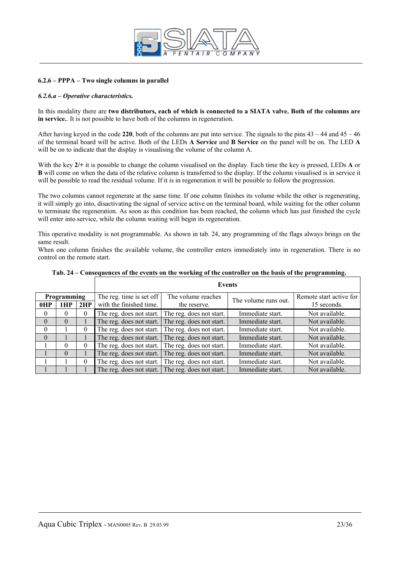

#### **6.2.6 – PPPA – Two single columns in parallel**

#### *6.2.6.a – Operative characteristics.*

In this modality there are **two distributors, each of which is connected to a SIATA valve. Both of the columns are in service.**. It is not possible to have both of the columns in regeneration.

After having keyed in the code 220, both of the columns are put into service. The signals to the pins  $43 - 44$  and  $45 - 46$ of the terminal board will be active. Both of the LEDs **A Service** and **B Service** on the panel will be on. The LED **A** will be on to indicate that the display is visualising the volume of the column A.

With the key **2/+** it is possible to change the column visualised on the display. Each time the key is pressed, LEDs **A** or **B** will come on when the data of the relative column is transferred to the display. If the column visualised is in service it will be possible to read the residual volume. If it is in regeneration it will be possible to follow the progression.

The two columns cannot regenerate at the same time. If one column finishes its volume while the other is regenerating, it will simply go into, disactivating the signal of service active on the terminal board, while waiting for the other column to terminate the regeneration. As soon as this condition has been reached, the column which has just finished the cycle will enter into service, while the column waiting will begin its regeneration.

This operative modality is not programmable. As shown in tab. 24, any programming of the flags always brings on the same result.

When one column finishes the available volume, the controller enters immediately into in regeneration. There is no control on the remote start.

|                                  |          |          |                                                                          | <b>Events</b>                                     |                      |                                        |  |  |  |
|----------------------------------|----------|----------|--------------------------------------------------------------------------|---------------------------------------------------|----------------------|----------------------------------------|--|--|--|
| <b>Programming</b><br>0HP<br>1HP |          | 2HP      | The reg. time is set off<br>with the finished time.                      | The volume reaches<br>the reserve.                | The volume runs out. | Remote start active for<br>15 seconds. |  |  |  |
| $\theta$                         | $\Omega$ | $\theta$ | The reg. does not start.                                                 | The reg. does not start.                          | Immediate start.     | Not available.                         |  |  |  |
| $\theta$                         | $\Omega$ |          | The reg. does not start.                                                 | The reg. does not start.                          | Immediate start.     | Not available.                         |  |  |  |
| $\theta$                         |          | $\theta$ | The reg. does not start.                                                 | The reg. does not start.                          | Immediate start.     | Not available.                         |  |  |  |
| $\Omega$                         |          |          | The reg. does not start.                                                 | The reg. does not start.                          | Immediate start.     | Not available.                         |  |  |  |
|                                  | $\Omega$ | $\theta$ | The reg. does not start.                                                 | The reg. does not start.                          | Immediate start.     | Not available.                         |  |  |  |
|                                  | $\Omega$ |          | The reg. does not start.                                                 | The reg. does not start.                          | Immediate start.     | Not available.                         |  |  |  |
|                                  |          | $\theta$ | Immediate start.<br>The reg. does not start.<br>The reg. does not start. |                                                   |                      | Not available.                         |  |  |  |
|                                  |          |          |                                                                          | The reg. does not start. The reg. does not start. | Immediate start.     | Not available.                         |  |  |  |

**Tab. 24 – Consequences of the events on the working of the controller on the basis of the programming.**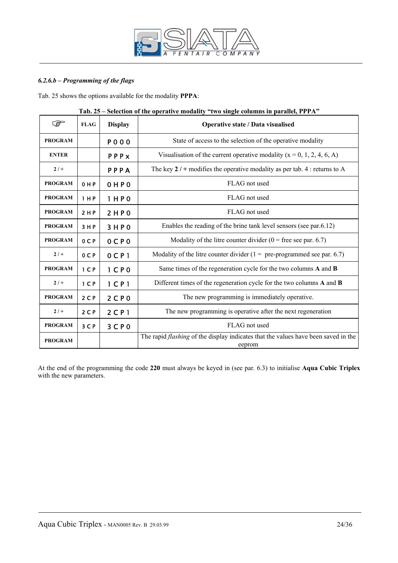

# *6.2.6.b – Programming of the flags*

Tab. 25 shows the options available for the modality **PPPA**:

| کی             | <b>FLAG</b>    | <b>Display</b>                | $\ldots$ single columns in parameter $\ldots$<br>Operative state / Data visualised                  |  |
|----------------|----------------|-------------------------------|-----------------------------------------------------------------------------------------------------|--|
| <b>PROGRAM</b> |                | <b>PO00</b>                   | State of access to the selection of the operative modality                                          |  |
| <b>ENTER</b>   |                | PPPX                          | Visualisation of the current operative modality ( $x = 0, 1, 2, 4, 6, A$ )                          |  |
| $2/+$          |                | PPPA                          | The key $2 / +$ modifies the operative modality as per tab. 4 : returns to A                        |  |
| <b>PROGRAM</b> | 0 H P          | 0 H P 0                       | FLAG not used                                                                                       |  |
| <b>PROGRAM</b> | 1 H P          | 1 HPO                         | FLAG not used                                                                                       |  |
| <b>PROGRAM</b> | 2 H P          | 2HP0                          | FLAG not used                                                                                       |  |
| <b>PROGRAM</b> | 3 H P          | 3HP0                          | Enables the reading of the brine tank level sensors (see par.6.12)                                  |  |
| <b>PROGRAM</b> | 0 <sup>C</sup> | 0 C P 0                       | Modality of the litre counter divider $(0 =$ free see par. 6.7)                                     |  |
| $2/+$          | 0 C P          | $0C$ $P1$                     | Modality of the litre counter divider ( $1 =$ pre-programmed see par. 6.7)                          |  |
| <b>PROGRAM</b> | 1 <sub>C</sub> | 1 <sub>C</sub> P <sub>0</sub> | Same times of the regeneration cycle for the two columns A and B                                    |  |
| $2/+$          | 1 <sub>C</sub> | $1$ CP <sub>1</sub>           | Different times of the regeneration cycle for the two columns A and B                               |  |
| <b>PROGRAM</b> | $2C$ P         | 2CP0                          | The new programming is immediately operative.                                                       |  |
| $2/+$          | 2 <sub>C</sub> | $2$ C P 1                     | The new programming is operative after the next regeneration                                        |  |
| <b>PROGRAM</b> | 3 C P          | 3 <sup>C</sup> P 0            | FLAG not used                                                                                       |  |
| <b>PROGRAM</b> |                |                               | The rapid <i>flashing</i> of the display indicates that the values have been saved in the<br>eeprom |  |

#### **Tab. 25 – Selection of the operative modality "two single columns in parallel, PPPA"**

At the end of the programming the code **220** must always be keyed in (see par. 6.3) to initialise **Aqua Cubic Triplex** with the new parameters.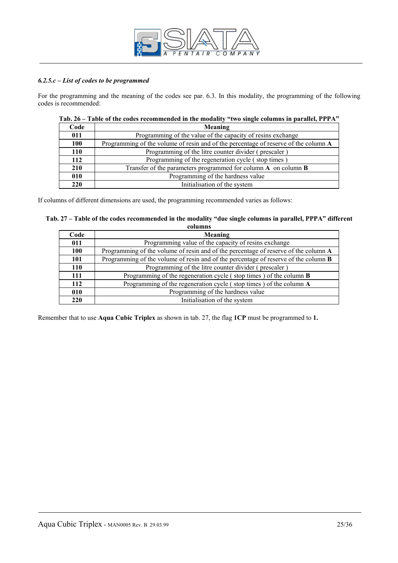

#### *6.2.5.c – List of codes to be programmed*

For the programming and the meaning of the codes see par. 6.3. In this modality, the programming of the following codes is recommended:

|            | $\cdots$ $\cdots$ $\cdots$ $\cdots$ $\cdots$ $\cdots$ $\cdots$ $\cdots$ $\cdots$ $\cdots$ $\cdots$ $\cdots$ $\cdots$ $\cdots$ $\cdots$ |
|------------|----------------------------------------------------------------------------------------------------------------------------------------|
| Code       | Meaning                                                                                                                                |
| 011        | Programming of the value of the capacity of resins exchange                                                                            |
| 100        | Programming of the volume of resin and of the percentage of reserve of the column A                                                    |
| <b>110</b> | Programming of the litre counter divider (prescaler)                                                                                   |
| 112        | Programming of the regeneration cycle (stop times)                                                                                     |
| 210        | Transfer of the parameters programmed for column $A$ on column $B$                                                                     |
| 010        | Programming of the hardness value                                                                                                      |
| 220        | Initialisation of the system                                                                                                           |

# **Tab. 26 – Table of the codes recommended in the modality "two single columns in parallel, PPPA"**

If columns of different dimensions are used, the programming recommended varies as follows:

| Tab. 27 – Table of the codes recommended in the modality "due single columns in parallel, PPPA" different |  |
|-----------------------------------------------------------------------------------------------------------|--|
| columns                                                                                                   |  |

| Code       | Meaning                                                                                    |
|------------|--------------------------------------------------------------------------------------------|
| 011        | Programming value of the capacity of resins exchange                                       |
| 100        | Programming of the volume of resin and of the percentage of reserve of the column A        |
| 101        | Programming of the volume of resin and of the percentage of reserve of the column <b>B</b> |
| <b>110</b> | Programming of the litre counter divider (prescaler)                                       |
| 111        | Programming of the regeneration cycle (stop times) of the column <b>B</b>                  |
| 112        | Programming of the regeneration cycle (stop times) of the column A                         |
| 010        | Programming of the hardness value                                                          |
| 220        | Initialisation of the system                                                               |

Remember that to use **Aqua Cubic Triplex** as shown in tab. 27, the flag **1CP** must be programmed to **1.**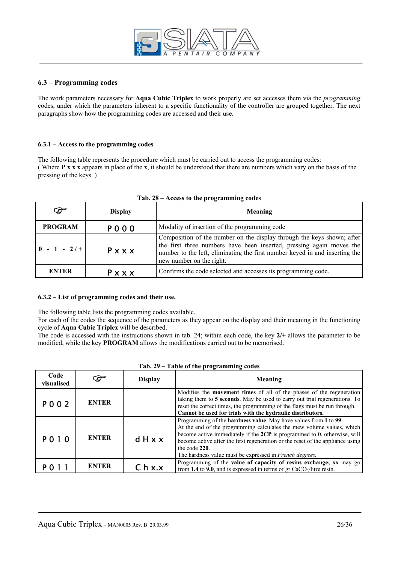

#### **6.3 – Programming codes**

The work parameters necessary for **Aqua Cubic Triplex** to work properly are set accesses them via the *programming* codes, under which the parameters inherent to a specific functionality of the controller are grouped together. The next paragraphs show how the programming codes are accessed and their use.

#### **6.3.1 – Access to the programming codes**

The following table represents the procedure which must be carried out to access the programming codes: ( Where **P x x x** appears in place of the **x**, it should be understood that there are numbers which vary on the basis of the pressing of the keys. )

| $\mathcal{F}$  | <b>Display</b> | <b>Meaning</b>                                                                                                                                                                                                                                            |  |
|----------------|----------------|-----------------------------------------------------------------------------------------------------------------------------------------------------------------------------------------------------------------------------------------------------------|--|
| <b>PROGRAM</b> | P000           | Modality of insertion of the programming code                                                                                                                                                                                                             |  |
| $0 - 1 - 2/$   | Pxxx           | Composition of the number on the display through the keys shown; after<br>the first three numbers have been inserted, pressing again moves the<br>number to the left, eliminating the first number keyed in and inserting the<br>new number on the right. |  |
| <b>ENTER</b>   | $P$ x x x      | Confirms the code selected and accesses its programming code.                                                                                                                                                                                             |  |

#### **Tab. 28 – Access to the programming codes**

#### **6.3.2 – List of programming codes and their use.**

The following table lists the programming codes available.

For each of the codes the sequence of the parameters as they appear on the display and their meaning in the functioning cycle of **Aqua Cubic Triplex** will be described.

The code is accessed with the instructions shown in tab. 24; within each code, the key **2/+** allows the parameter to be modified, while the key **PROGRAM** allows the modifications carried out to be memorised.

| Code<br>visualised | F            | <b>Display</b>                                                                                                                                                                                                                                                                                                                                                                                           | Meaning |
|--------------------|--------------|----------------------------------------------------------------------------------------------------------------------------------------------------------------------------------------------------------------------------------------------------------------------------------------------------------------------------------------------------------------------------------------------------------|---------|
| P 0 0 2            | <b>ENTER</b> | Modifies the <b>movement times</b> of all of the phases of the regeneration<br>taking them to 5 seconds. May be used to carry out trial regenerations. To<br>reset the correct times, the programming of the flags must be run through.<br>Cannot be used for trials with the hydraulic distributors.                                                                                                    |         |
| P010               | <b>ENTER</b> | Programming of the <b>hardness value</b> . May have values from 1 to 99.<br>At the end of the programming calculates the mew volume values, which<br>become active immediately if the $2CP$ is programmed to $0$ , otherwise, will<br>dHxx<br>become active after the first regeneration or the reset of the appliance using<br>the code 220.<br>The hardness value must be expressed in French degrees. |         |
|                    | <b>ENTER</b> | Programming of the value of capacity of resins exchange; xx may go<br>C <sub>h</sub> x.x<br>from 1.4 to 9.0, and is expressed in terms of $gr CaCO3/litre$ resin.                                                                                                                                                                                                                                        |         |

#### **Tab. 29 – Table of the programming codes**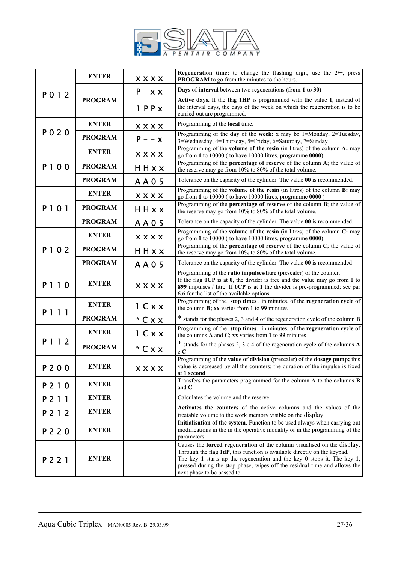

| P012    | <b>ENTER</b>   | <b>XXXX</b> | Regeneration time; to change the flashing digit, use the $2/+$ , press<br>PROGRAM to go from the minutes to the hours.                                                                                                                                                                                                                       |  |  |
|---------|----------------|-------------|----------------------------------------------------------------------------------------------------------------------------------------------------------------------------------------------------------------------------------------------------------------------------------------------------------------------------------------------|--|--|
|         | <b>PROGRAM</b> | $P - x x$   | Days of interval between two regenerations (from 1 to 30)                                                                                                                                                                                                                                                                                    |  |  |
|         |                | $1$ PP $x$  | Active days. If the flag 1HP is programmed with the value 1, instead of<br>the interval days, the days of the week on which the regeneration is to be<br>carried out are programmed.                                                                                                                                                         |  |  |
| P 0 2 0 | <b>ENTER</b>   | <b>XXXX</b> | Programming of the local time.                                                                                                                                                                                                                                                                                                               |  |  |
|         | <b>PROGRAM</b> | $P - -x$    | Programming of the day of the week: x may be $1 =$ Monday, $2 =$ Tuesday,<br>3=Wednesday, 4=Thursday, 5=Friday, 6=Saturday, 7=Sunday                                                                                                                                                                                                         |  |  |
|         | <b>ENTER</b>   | <b>XXXX</b> | Programming of the volume of the resin (in litres) of the column A: may<br>go from 1 to 10000 (to have 10000 litres, programme 0000)                                                                                                                                                                                                         |  |  |
| P100    | <b>PROGRAM</b> | HHxx        | Programming of the <b>percentage of reserve</b> of the column A; the value of<br>the reserve may go from 10% to 80% of the total volume.                                                                                                                                                                                                     |  |  |
|         | <b>PROGRAM</b> | A A 0 5     | Tolerance on the capacity of the cylinder. The value 00 is recommended.                                                                                                                                                                                                                                                                      |  |  |
|         | <b>ENTER</b>   | <b>XXXX</b> | Programming of the volume of the resin (in litres) of the column B: may<br>go from 1 to 10000 ( to have 10000 litres, programme 0000 )                                                                                                                                                                                                       |  |  |
| P 1 0 1 | <b>PROGRAM</b> | HHxx        | Programming of the percentage of reserve of the column B; the value of<br>the reserve may go from 10% to 80% of the total volume.                                                                                                                                                                                                            |  |  |
|         | <b>PROGRAM</b> | A A 0 5     | Tolerance on the capacity of the cylinder. The value 00 is recommended.                                                                                                                                                                                                                                                                      |  |  |
|         | <b>ENTER</b>   | <b>XXXX</b> | Programming of the volume of the resin (in litres) of the column C: may<br>go from 1 to 10000 (to have 10000 litres, programme 0000)                                                                                                                                                                                                         |  |  |
| P102    | <b>PROGRAM</b> | HHxx        | Programming of the percentage of reserve of the column C; the value of<br>the reserve may go from 10% to 80% of the total volume.                                                                                                                                                                                                            |  |  |
|         | <b>PROGRAM</b> | AA05        | Tolerance on the capacity of the cylinder. The value 00 is recommended                                                                                                                                                                                                                                                                       |  |  |
| P110    | <b>ENTER</b>   | <b>XXXX</b> | Programming of the ratio impulses/litre (prescaler) of the counter.<br>If the flag $0CP$ is at $0$ , the divider is free and the value may go from $0$ to<br>899 impulses / litre. If 0CP is at 1 the divider is pre-programmed; see par<br>6.6 for the list of the available options.                                                       |  |  |
| P 1 1 1 | <b>ENTER</b>   | 1 C x x     | Programming of the stop times, in minutes, of the regeneration cycle of<br>the column B; xx varies from 1 to 99 minutes                                                                                                                                                                                                                      |  |  |
|         | <b>PROGRAM</b> | $*$ C x x   | * stands for the phases 2, 3 and 4 of the regeneration cycle of the column <b>B</b>                                                                                                                                                                                                                                                          |  |  |
| P 1 1 2 | <b>ENTER</b>   | 1 Cxx       | Programming of the stop times, in minutes, of the regeneration cycle of<br>the columns $A$ and $C$ ; xx varies from 1 to 99 minutes                                                                                                                                                                                                          |  |  |
|         | <b>PROGRAM</b> | $*$ C x x   | * stands for the phases 2, 3 e 4 of the regeneration cycle of the columns A<br>e C.                                                                                                                                                                                                                                                          |  |  |
| P 2 0 0 | ENTER          | <b>XXXX</b> | Programming of the value of division (prescaler) of the dosage pump; this<br>value is decreased by all the counters; the duration of the impulse is fixed<br>at 1 second                                                                                                                                                                     |  |  |
| P 2 1 0 | <b>ENTER</b>   |             | Transfers the parameters programmed for the column A to the columns B<br>and $C$ .                                                                                                                                                                                                                                                           |  |  |
| P 2 1 1 | <b>ENTER</b>   |             | Calculates the volume and the reserve                                                                                                                                                                                                                                                                                                        |  |  |
| P 2 1 2 | <b>ENTER</b>   |             | Activates the counters of the active columns and the values of the<br>treatable volume to the work memory visible on the display.                                                                                                                                                                                                            |  |  |
| P 2 2 0 | <b>ENTER</b>   |             | Initialisation of the system. Function to be used always when carrying out<br>modifications in the in the operative modality or in the programming of the<br>parameters.                                                                                                                                                                     |  |  |
| P 2 2 1 | <b>ENTER</b>   |             | Causes the forced regeneration of the column visualised on the display.<br>Through the flag 1dP, this function is available directly on the keypad.<br>The key 1 starts up the regeneration and the key $0$ stops it. The key 1,<br>pressed during the stop phase, wipes off the residual time and allows the<br>next phase to be passed to. |  |  |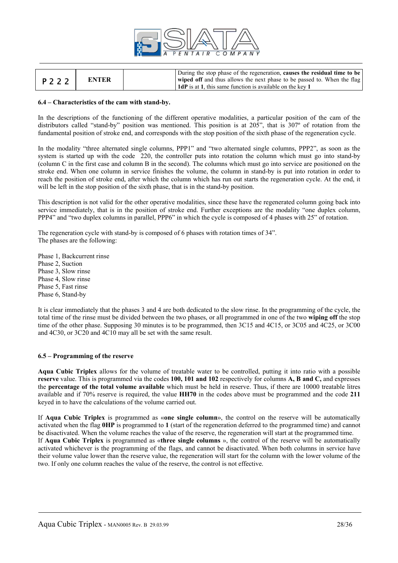

| P 2 2 2 | <b>ENTER</b> | During the stop phase of the regeneration, causes the residual time to be<br>wiped off and thus allows the next phase to be passed to. When the flag |
|---------|--------------|------------------------------------------------------------------------------------------------------------------------------------------------------|
|         |              | <b>1 1dP</b> is at 1, this same function is available on the key 1                                                                                   |

#### **6.4 – Characteristics of the cam with stand-by.**

In the descriptions of the functioning of the different operative modalities, a particular position of the cam of the distributors called "stand-by" position was mentioned. This position is at 205", that is 307° of rotation from the fundamental position of stroke end, and corresponds with the stop position of the sixth phase of the regeneration cycle.

In the modality "three alternated single columns, PPP1" and "two alternated single columns, PPP2", as soon as the system is started up with the code 220, the controller puts into rotation the column which must go into stand-by (column C in the first case and column B in the second). The columns which must go into service are positioned on the stroke end. When one column in service finishes the volume, the column in stand-by is put into rotation in order to reach the position of stroke end, after which the column which has run out starts the regeneration cycle. At the end, it will be left in the stop position of the sixth phase, that is in the stand-by position.

This description is not valid for the other operative modalities, since these have the regenerated column going back into service immediately, that is in the position of stroke end. Further exceptions are the modality "one duplex column, PPP4" and "two duplex columns in parallel, PPP6" in which the cycle is composed of 4 phases with 25" of rotation.

The regeneration cycle with stand-by is composed of 6 phases with rotation times of 34". The phases are the following:

Phase 1, Backcurrent rinse Phase 2, Suction Phase 3, Slow rinse Phase 4, Slow rinse Phase 5, Fast rinse Phase 6, Stand-by

It is clear immediately that the phases 3 and 4 are both dedicated to the slow rinse. In the programming of the cycle, the total time of the rinse must be divided between the two phases, or all programmed in one of the two **wiping off** the stop time of the other phase. Supposing 30 minutes is to be programmed, then  $3C15$  and  $4C15$ , or  $3C05$  and  $4C25$ , or  $3C00$ and 4C30, or 3C20 and 4C10 may all be set with the same result.

#### **6.5 – Programming of the reserve**

**Aqua Cubic Triplex** allows for the volume of treatable water to be controlled, putting it into ratio with a possible **reserve** value. This is programmed via the codes **100, 101 and 102** respectively for columns **A, B and C,** and expresses the **percentage of the total volume available** which must be held in reserve. Thus, if there are 10000 treatable litres available and if 70% reserve is required, the value **HH70** in the codes above must be programmed and the code **211**  keyed in to have the calculations of the volume carried out.

If **Aqua Cubic Triplex** is programmed as «**one single column**», the control on the reserve will be automatically activated when the flag **0HP** is programmed to **1** (start of the regeneration deferred to the programmed time) and cannot be disactivated. When the volume reaches the value of the reserve, the regeneration will start at the programmed time. If **Aqua Cubic Triplex** is programmed as «**three single columns** », the control of the reserve will be automatically activated whichever is the programming of the flags, and cannot be disactivated. When both columns in service have their volume value lower than the reserve value, the regeneration will start for the column with the lower volume of the two. If only one column reaches the value of the reserve, the control is not effective.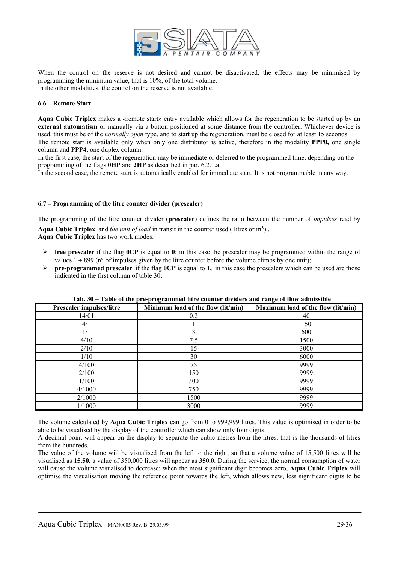

When the control on the reserve is not desired and cannot be disactivated, the effects may be minimised by programming the minimum value, that is 10%, of the total volume. In the other modalities, the control on the reserve is not available.

#### **6.6 – Remote Start**

**Aqua Cubic Triplex** makes a «remote start» entry available which allows for the regeneration to be started up by an **external automatism** or manually via a button positioned at some distance from the controller. Whichever device is used, this must be of the *normally open* type, and to start up the regeneration, must be closed for at least 15 seconds. The remote start is available only when only one distributor is active, therefore in the modality **PPP0,** one single column and **PPP4,** one duplex column.

In the first case, the start of the regeneration may be immediate or deferred to the programmed time, depending on the programming of the flags **0HP** and **2HP** as described in par. 6.2.1.a.

In the second case, the remote start is automatically enabled for immediate start. It is not programmable in any way.

#### **6.7 – Programming of the litre counter divider (prescaler)**

The programming of the litre counter divider (**prescaler**) defines the ratio between the number of *impulses* read by

Aqua Cubic Triplex and *the unit of load* in transit in the counter used (litres or m<sup>3</sup>). **Aqua Cubic Triplex** has two work modes:

- $\triangleright$  **free prescaler** if the flag **0CP** is equal to **0**; in this case the prescaler may be programmed within the range of values  $1 \div 899$  (n° of impulses given by the litre counter before the volume climbs by one unit);
- $\triangleright$  **pre-programmed prescaler** if the flag **0CP** is equal to **1**, in this case the prescalers which can be used are those indicated in the first column of table 30;

| <b>Prescaler impulses/litre</b> | . L. L. <b>. 9</b> .<br>Minimum load of the flow (lit/min) | Maximum load of the flow (lit/min) |
|---------------------------------|------------------------------------------------------------|------------------------------------|
| 14/01                           | 0.2                                                        | 40                                 |
| 4/1                             |                                                            | 150                                |
| 1/1                             |                                                            | 600                                |
| 4/10                            | 7.5                                                        | 1500                               |
| 2/10                            | 15                                                         | 3000                               |
| 1/10                            | 30                                                         | 6000                               |
| 4/100                           | 75                                                         | 9999                               |
| 2/100                           | 150                                                        | 9999                               |
| 1/100                           | 300                                                        | 9999                               |
| 4/1000                          | 750                                                        | 9999                               |
| 2/1000                          | 1500                                                       | 9999                               |
| 1/1000                          | 3000                                                       | 9999                               |

#### **Tab. 30 – Table of the pre-programmed litre counter dividers and range of flow admissible**

The volume calculated by **Aqua Cubic Triplex** can go from 0 to 999,999 litres. This value is optimised in order to be able to be visualised by the display of the controller which can show only four digits.

A decimal point will appear on the display to separate the cubic metres from the litres, that is the thousands of litres from the hundreds.

The value of the volume will be visualised from the left to the right, so that a volume value of 15,500 litres will be visualised as **15.50**, a value of 350,000 litres will appear as **350.0**. During the service, the normal consumption of water will cause the volume visualised to decrease; when the most significant digit becomes zero, **Aqua Cubic Triplex** will optimise the visualisation moving the reference point towards the left, which allows new, less significant digits to be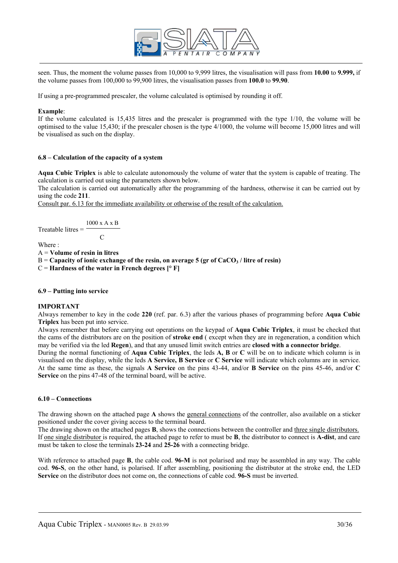

seen. Thus, the moment the volume passes from 10,000 to 9,999 litres, the visualisation will pass from **10.00** to **9.999,** if the volume passes from 100,000 to 99,900 litres, the visualisation passes from **100.0** to **99.90**.

If using a pre-programmed prescaler, the volume calculated is optimised by rounding it off.

#### **Example**:

If the volume calculated is 15,435 litres and the prescaler is programmed with the type 1/10, the volume will be optimised to the value 15,430; if the prescaler chosen is the type 4/1000, the volume will become 15,000 litres and will be visualised as such on the display.

#### **6.8 – Calculation of the capacity of a system**

**Aqua Cubic Triplex** is able to calculate autonomously the volume of water that the system is capable of treating. The calculation is carried out using the parameters shown below.

The calculation is carried out automatically after the programming of the hardness, otherwise it can be carried out by using the code **211**.

Consult par. 6.13 for the immediate availability or otherwise of the result of the calculation.

 1000 x A x B Treatable litres = **C** C

Where :

A = **Volume of resin in litres**

 $B =$ **Capacity of ionic exchange of the resin, on average 5 (gr of CaCO<sub>3</sub> / litre of resin)** 

C = **Hardness of the water in French degrees [° F]** 

#### **6.9 – Putting into service**

#### **IMPORTANT**

Always remember to key in the code **220** (ref. par. 6.3) after the various phases of programming before **Aqua Cubic Triplex** has been put into service.

Always remember that before carrying out operations on the keypad of **Aqua Cubic Triplex**, it must be checked that the cams of the distributors are on the position of **stroke end** ( except when they are in regeneration, a condition which may be verified via the led **Regen**), and that any unused limit switch entries are **closed with a connector bridge**.

During the normal functioning of **Aqua Cubic Triplex**, the leds **A, B** or **C** will be on to indicate which column is in visualised on the display, while the leds **A Service, B Service** or **C Service** will indicate which columns are in service. At the same time as these, the signals **A Service** on the pins 43-44, and/or **B Service** on the pins 45-46, and/or **C Service** on the pins 47-48 of the terminal board, will be active.

#### **6.10 – Connections**

The drawing shown on the attached page **A** shows the general connections of the controller, also available on a sticker positioned under the cover giving access to the terminal board.

The drawing shown on the attached pages **B**, shows the connections between the controller and three single distributors. If one single distributor is required, the attached page to refer to must be **B**, the distributor to connect is **A-dist**, and care must be taken to close the terminals **23-24** and **25-26** with a connecting bridge.

With reference to attached page **B**, the cable cod. **96-M** is not polarised and may be assembled in any way. The cable cod. **96-S**, on the other hand, is polarised. If after assembling, positioning the distributor at the stroke end, the LED **Service** on the distributor does not come on, the connections of cable cod. **96-S** must be inverted.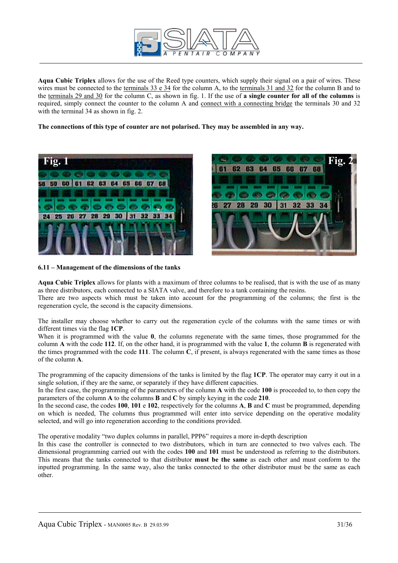

**Aqua Cubic Triplex** allows for the use of the Reed type counters, which supply their signal on a pair of wires. These wires must be connected to the terminals 33 e 34 for the column A, to the terminals 31 and 32 for the column B and to the terminals 29 and 30 for the column C, as shown in fig. 1. If the use of **a single counter for all of the columns** is required, simply connect the counter to the column A and connect with a connecting bridge the terminals 30 and 32 with the terminal 34 as shown in fig. 2.

**The connections of this type of counter are not polarised. They may be assembled in any way.** 



29 30

**6.11 – Management of the dimensions of the tanks** 

**Aqua Cubic Triplex** allows for plants with a maximum of three columns to be realised, that is with the use of as many as three distributors, each connected to a SIATA valve, and therefore to a tank containing the resins.

There are two aspects which must be taken into account for the programming of the columns; the first is the regeneration cycle, the second is the capacity dimensions.

The installer may choose whether to carry out the regeneration cycle of the columns with the same times or with different times via the flag **1CP**.

When it is programmed with the value **0**, the columns regenerate with the same times, those programmed for the column **A** with the code **112**. If, on the other hand, it is programmed with the value **1**, the column **B** is regenerated with the times programmed with the code **111**. The column **C**, if present, is always regenerated with the same times as those of the column **A**.

The programming of the capacity dimensions of the tanks is limited by the flag **1CP**. The operator may carry it out in a single solution, if they are the same, or separately if they have different capacities.

In the first case, the programming of the parameters of the column **A** with the code **100** is proceeded to, to then copy the parameters of the column **A** to the columns **B** and **C** by simply keying in the code **210**.

In the second case, the codes **100**, **101** e **102**, respectively for the columns **A**, **B** and **C** must be programmed, depending on which is needed, The columns thus programmed will enter into service depending on the operative modality selected, and will go into regeneration according to the conditions provided.

The operative modality "two duplex columns in parallel, PPP6" requires a more in-depth description

In this case the controller is connected to two distributors, which in turn are connected to two valves each. The dimensional programming carried out with the codes **100** and **101** must be understood as referring to the distributors. This means that the tanks connected to that distributor **must be the same** as each other and must conform to the inputted programming. In the same way, also the tanks connected to the other distributor must be the same as each other.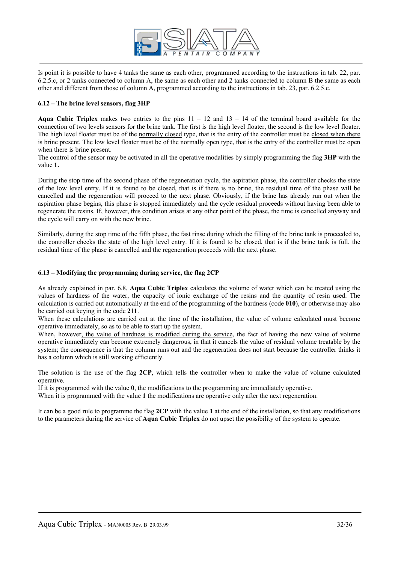

Is point it is possible to have 4 tanks the same as each other, programmed according to the instructions in tab. 22, par. 6.2.5.c, or 2 tanks connected to column A, the same as each other and 2 tanks connected to column B the same as each other and different from those of column A, programmed according to the instructions in tab. 23, par. 6.2.5.c.

#### **6.12 – The brine level sensors, flag 3HP**

**Aqua Cubic Triplex** makes two entries to the pins  $11 - 12$  and  $13 - 14$  of the terminal board available for the connection of two levels sensors for the brine tank. The first is the high level floater, the second is the low level floater. The high level floater must be of the normally closed type, that is the entry of the controller must be closed when there is brine present. The low level floater must be of the normally open type, that is the entry of the controller must be open when there is brine present.

The control of the sensor may be activated in all the operative modalities by simply programming the flag **3HP** with the value **1.**

During the stop time of the second phase of the regeneration cycle, the aspiration phase, the controller checks the state of the low level entry. If it is found to be closed, that is if there is no brine, the residual time of the phase will be cancelled and the regeneration will proceed to the next phase. Obviously, if the brine has already run out when the aspiration phase begins, this phase is stopped immediately and the cycle residual proceeds without having been able to regenerate the resins. If, however, this condition arises at any other point of the phase, the time is cancelled anyway and the cycle will carry on with the new brine.

Similarly, during the stop time of the fifth phase, the fast rinse during which the filling of the brine tank is proceeded to, the controller checks the state of the high level entry. If it is found to be closed, that is if the brine tank is full, the residual time of the phase is cancelled and the regeneration proceeds with the next phase.

#### **6.13 – Modifying the programming during service, the flag 2CP**

As already explained in par. 6.8, **Aqua Cubic Triplex** calculates the volume of water which can be treated using the values of hardness of the water, the capacity of ionic exchange of the resins and the quantity of resin used. The calculation is carried out automatically at the end of the programming of the hardness (code **010**), or otherwise may also be carried out keying in the code **211**.

When these calculations are carried out at the time of the installation, the value of volume calculated must become operative immediately, so as to be able to start up the system.

When, however, the value of hardness is modified during the service, the fact of having the new value of volume operative immediately can become extremely dangerous, in that it cancels the value of residual volume treatable by the system; the consequence is that the column runs out and the regeneration does not start because the controller thinks it has a column which is still working efficiently.

The solution is the use of the flag **2CP**, which tells the controller when to make the value of volume calculated operative.

If it is programmed with the value **0**, the modifications to the programming are immediately operative.

When it is programmed with the value 1 the modifications are operative only after the next regeneration.

It can be a good rule to programme the flag **2CP** with the value **1** at the end of the installation, so that any modifications to the parameters during the service of **Aqua Cubic Triplex** do not upset the possibility of the system to operate.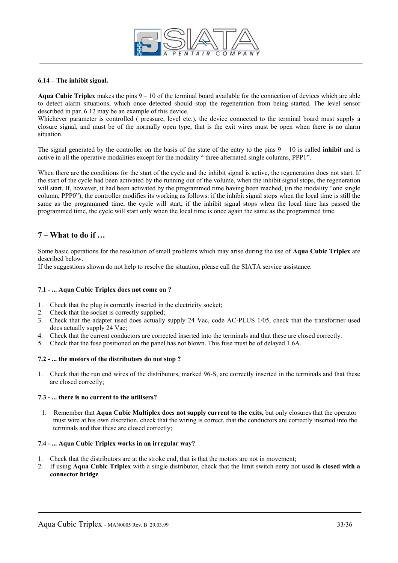

#### **6.14 – The inhibit signal.**

**Aqua Cubic Triplex** makes the pins  $9 - 10$  of the terminal board available for the connection of devices which are able to detect alarm situations, which once detected should stop the regeneration from being started. The level sensor described in par. 6.12 may be an example of this device.

Whichever parameter is controlled ( pressure, level etc.), the device connected to the terminal board must supply a closure signal, and must be of the normally open type, that is the exit wires must be open when there is no alarm situation.

The signal generated by the controller on the basis of the state of the entry to the pins 9 – 10 is called **inhibit** and is active in all the operative modalities except for the modality " three alternated single columns, PPP1".

When there are the conditions for the start of the cycle and the inhibit signal is active, the regeneration does not start. If the start of the cycle had been activated by the running out of the volume, when the inhibit signal stops, the regeneration will start. If, however, it had been activated by the programmed time having been reached, (in the modality "one single column, PPP0"), the controller modifies its working as follows: if the inhibit signal stops when the local time is still the same as the programmed time, the cycle will start; if the inhibit signal stops when the local time has passed the programmed time, the cycle will start only when the local time is once again the same as the programmed time.

## **7 – What to do if …**

Some basic operations for the resolution of small problems which may arise during the use of **Aqua Cubic Triplex** are described below.

If the suggestions shown do not help to resolve the situation, please call the SIATA service assistance.

#### **7.1 - ... Aqua Cubic Triplex does not come on ?**

- 1. Check that the plug is correctly inserted in the electricity socket;
- 2. Check that the socket is correctly supplied;
- 3. Check that the adapter used does actually supply 24 Vac, code AC-PLUS 1/05, check that the transformer used does actually supply 24 Vac;
- 4. Check that the current conductors are corrected inserted into the terminals and that these are closed correctly.
- 5. Check that the fuse positioned on the panel has not blown. This fuse must be of delayed 1.6A.

#### **7.2 - ... the motors of the distributors do not stop ?**

1. Check that the run end wires of the distributors, marked 96-S, are correctly inserted in the terminals and that these are closed correctly;

#### **7.3 - ... there is no current to the utilisers?**

1. Remember that **Aqua Cubic Multiplex does not supply current to the exits,** but only closures that the operator must wire at his own discretion, check that the wiring is correct, that the conductors are correctly inserted into the terminals and that these are closed correctly;

#### **7.4 - ... Aqua Cubic Triplex works in an irregular way?**

- 1. Check that the distributors are at the stroke end, that is that the motors are not in movement;
- 2. If using **Aqua Cubic Triplex** with a single distributor, check that the limit switch entry not used **is closed with a connector bridge**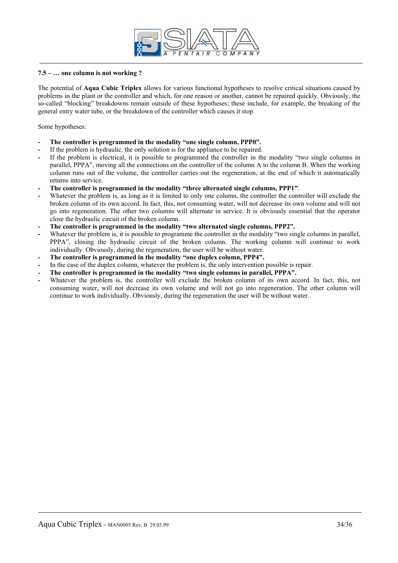

#### **7.5 – … one column is not working ?**

The potential of **Aqua Cubic Triplex** allows for various functional hypotheses to resolve critical situations caused by problems in the plant or the controller and which, for one reason or another, cannot be repaired quickly. Obviously, the so-called "blocking" breakdowns remain outside of these hypotheses; these include, for example, the breaking of the general entry water tube, or the breakdown of the controller which causes it stop.

Some hypotheses:

- **The controller is programmed in the modality "one single column, PPP0".**
- If the problem is hydraulic, the only solution is for the appliance to be repaired.
- If the problem is electrical, it is possible to programmed the controller in the modality "two single columns in parallel, PPPA", moving all the connections on the controller of the column A to the column B. When the working column runs out of the volume, the controller carries out the regeneration, at the end of which it automatically returns into service.
- **The controller is programmed in the modality "three alternated single columns, PPP1"**.
- Whatever the problem is, as long as it is limited to only one column, the controller the controller will exclude the broken column of its own accord. In fact, this, not consuming water, will not decrease its own volume and will not go into regeneration. The other two columns will alternate in service. It is obviously essential that the operator close the hydraulic circuit of the broken column.
- **The controller is programmed in the modality "two alternated single columns, PPP2".**
- Whatever the problem is, it is possible to programme the controller in the modality "two single columns in parallel, PPPA", closing the hydraulic circuit of the broken column. The working column will continue to work individually. Obviously, during the regeneration, the user will be without water.
- **The controller is programmed in the modality "one duplex column, PPP4".**
- In the case of the duplex column, whatever the problem is, the only intervention possible is repair.
- The controller is programmed in the modality "two single columns in parallel, PPPA".
- Whatever the problem is, the controller will exclude the broken column of its own accord. In fact, this, not consuming water, will not decrease its own volume and will not go into regeneration. The other column will continue to work individually. Obviously, during the regeneration the user will be without water.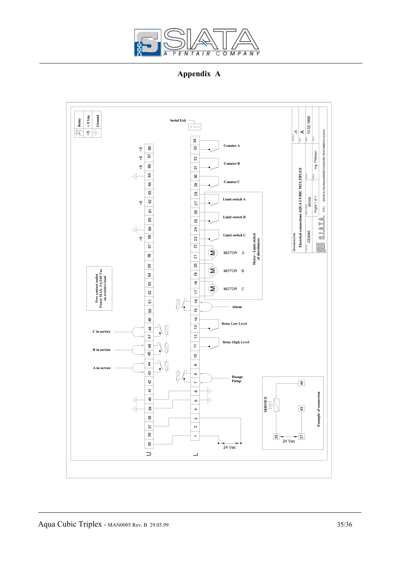

**Appendix A**